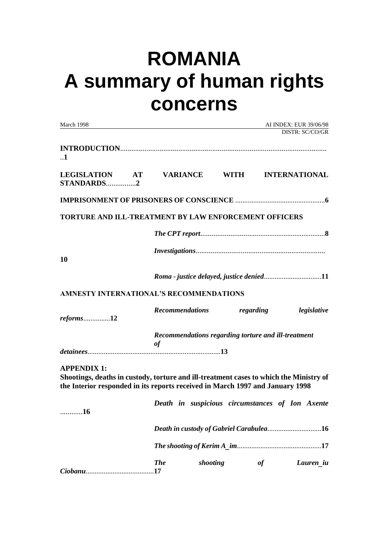# **ROMANIA A summary of human rights concerns**

| March 1998                                                                                                                                                                                    |                        |          |                                                     |           | AI INDEX: EUR 39/06/98<br>DISTR: SC/CO/GR       |
|-----------------------------------------------------------------------------------------------------------------------------------------------------------------------------------------------|------------------------|----------|-----------------------------------------------------|-----------|-------------------------------------------------|
|                                                                                                                                                                                               |                        |          |                                                     |           |                                                 |
| $\cdot$ .1                                                                                                                                                                                    |                        |          |                                                     |           |                                                 |
| LEGISLATION AT VARIANCE WITH INTERNATIONAL<br>STANDARDS2                                                                                                                                      |                        |          |                                                     |           |                                                 |
|                                                                                                                                                                                               |                        |          |                                                     |           |                                                 |
| <b>TORTURE AND ILL-TREATMENT BY LAW ENFORCEMENT OFFICERS</b>                                                                                                                                  |                        |          |                                                     |           |                                                 |
|                                                                                                                                                                                               |                        |          |                                                     |           |                                                 |
| <b>10</b>                                                                                                                                                                                     |                        |          |                                                     |           |                                                 |
|                                                                                                                                                                                               |                        |          |                                                     |           |                                                 |
| AMNESTY INTERNATIONAL'S RECOMMENDATIONS                                                                                                                                                       |                        |          |                                                     |           |                                                 |
| $reforms$ 12                                                                                                                                                                                  | <b>Recommendations</b> |          |                                                     | regarding | legislative                                     |
|                                                                                                                                                                                               | of                     |          | Recommendations regarding torture and ill-treatment |           |                                                 |
|                                                                                                                                                                                               |                        |          |                                                     |           |                                                 |
| <b>APPENDIX 1:</b><br>Shootings, deaths in custody, torture and ill-treatment cases to which the Ministry of<br>the Interior responded in its reports received in March 1997 and January 1998 |                        |          |                                                     |           |                                                 |
| 16                                                                                                                                                                                            |                        |          |                                                     |           | Death in suspicious circumstances of Ion Axente |
|                                                                                                                                                                                               |                        |          |                                                     |           | Death in custody of Gabriel Carabulea16         |
|                                                                                                                                                                                               |                        |          |                                                     |           |                                                 |
|                                                                                                                                                                                               | <b>The</b>             | shooting |                                                     | of        | Lauren iu                                       |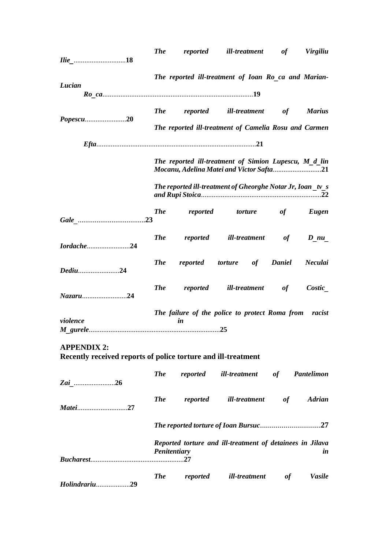|          | <b>The</b> | reported | ill-treatment                                                                                     | of | <b>Virgiliu</b> |
|----------|------------|----------|---------------------------------------------------------------------------------------------------|----|-----------------|
| Lucian   |            |          | The reported ill-treatment of Ioan Ro ca and Marian-                                              |    |                 |
|          | <b>The</b> |          | reported ill-treatment of<br>The reported ill-treatment of Camelia Rosu and Carmen                |    | <b>Marius</b>   |
|          |            |          |                                                                                                   |    |                 |
|          |            |          | The reported ill-treatment of Simion Lupescu, M d lin<br>Mocanu, Adelina Matei and Victor Safta21 |    |                 |
|          |            |          | The reported ill-treatment of Gheorghe Notar Jr, Ioan tv s                                        |    |                 |
|          | <b>The</b> |          | reported torture of Eugen                                                                         |    |                 |
|          |            |          | The reported ill-treatment of                                                                     |    | $D$ nu          |
| Dediu24  |            |          | The reported torture of Daniel                                                                    |    | Neculai         |
|          | <b>The</b> |          | reported ill-treatment of                                                                         |    | Costic          |
| violence |            | in       | The failure of the police to protect Roma from racist                                             |    |                 |
|          |            |          |                                                                                                   |    |                 |

**APPENDIX 2: Recently received reports of police torture and ill-treatment**

| Zai 26         | <b>The</b>          |          | reported ill-treatment of                                 |    | Pantelimon    |
|----------------|---------------------|----------|-----------------------------------------------------------|----|---------------|
| <i>Matei27</i> | <b>The</b>          | reported | ill-treatment                                             | of | <b>Adrian</b> |
|                |                     |          |                                                           |    |               |
|                | <i>Penitentiary</i> |          | Reported torture and ill-treatment of detainees in Jilava |    | in            |
| Holindrariu29  | <b>The</b>          | reported | ill-treatment                                             | of | <b>Vasile</b> |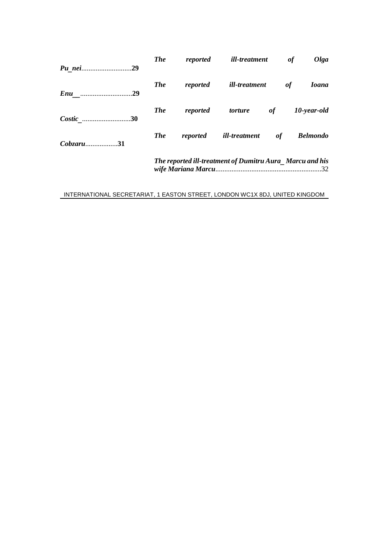| Pu nei29      | <b>The</b>                                               |          | reported <i>ill-treatment</i> | of | Olga            |  |
|---------------|----------------------------------------------------------|----------|-------------------------------|----|-----------------|--|
| <i>Enu</i> 29 | <b>The</b>                                               | reported | ill-treatment                 | of | <b>Ioana</b>    |  |
| Costic 30     | <b>The</b>                                               | reported | <i>torture</i>                | of | 10-year-old     |  |
| $Cobzaru$ 31  | <b>The</b>                                               | reported | ill-treatment of              |    | <b>Belmondo</b> |  |
|               | The reported ill-treatment of Dumitru Aura Marcu and his |          |                               |    |                 |  |

INTERNATIONAL SECRETARIAT, 1 EASTON STREET, LONDON WC1X 8DJ, UNITED KINGDOM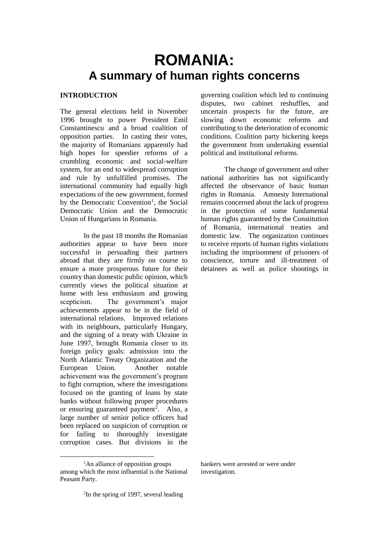# **ROMANIA: A summary of human rights concerns**

#### **INTRODUCTION**

The general elections held in November 1996 brought to power President Emil Constantinescu and a broad coalition of opposition parties. In casting their votes, the majority of Romanians apparently had high hopes for speedier reforms of a crumbling economic and social-welfare system, for an end to widespread corruption and rule by unfulfilled promises. The international community had equally high expectations of the new government, formed by the Democratic Convention<sup>1</sup>, the Social Democratic Union and the Democratic Union of Hungarians in Romania.

In the past 18 months the Romanian authorities appear to have been more successful in persuading their partners abroad that they are firmly on course to ensure a more prosperous future for their country than domestic public opinion, which currently views the political situation at home with less enthusiasm and growing scepticism. The government's major achievements appear to be in the field of international relations. Improved relations with its neighbours, particularly Hungary, and the signing of a treaty with Ukraine in June 1997, brought Romania closer to its foreign policy goals: admission into the North Atlantic Treaty Organization and the European Union. Another notable achievement was the government's program to fight corruption, where the investigations focused on the granting of loans by state banks without following proper procedures or ensuring guaranteed payment<sup>2</sup>. Also, a large number of senior police officers had been replaced on suspicion of corruption or for failing to thoroughly investigate corruption cases. But divisions in the

 $\overline{a}$ 

governing coalition which led to continuing disputes, two cabinet reshuffles, and uncertain prospects for the future, are slowing down economic reforms and contributing to the deterioration of economic conditions. Coalition party bickering keeps the government from undertaking essential political and institutional reforms.

The change of government and other national authorities has not significantly affected the observance of basic human rights in Romania. Amnesty International remains concerned about the lack of progress in the protection of some fundamental human rights guaranteed by the Constitution of Romania, international treaties and domestic law. The organization continues to receive reports of human rights violations including the imprisonment of prisoners of conscience, torture and ill-treatment of detainees as well as police shootings in

bankers were arrested or were under investigation.

<sup>&</sup>lt;sup>1</sup>An alliance of opposition groups among which the most influential is the National Peasant Party.

<sup>2</sup> In the spring of 1997, several leading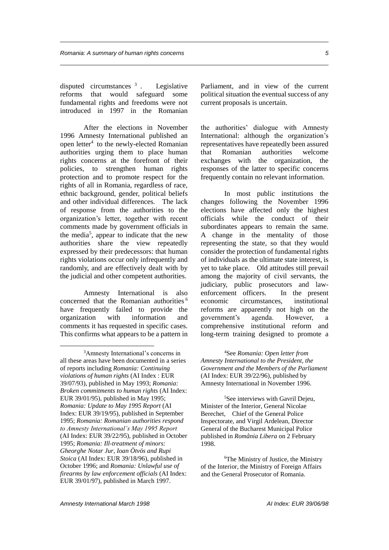disputed circumstances  $3$ . . Legislative reforms that would safeguard some fundamental rights and freedoms were not introduced in 1997 in the Romanian

After the elections in November 1996 Amnesty International published an open letter<sup>4</sup> to the newly-elected Romanian authorities urging them to place human rights concerns at the forefront of their policies, to strengthen human rights protection and to promote respect for the rights of all in Romania, regardless of race, ethnic background, gender, political beliefs and other individual differences. The lack of response from the authorities to the organization's letter, together with recent comments made by government officials in the media<sup>5</sup>, appear to indicate that the new authorities share the view repeatedly expressed by their predecessors: that human rights violations occur only infrequently and randomly, and are effectively dealt with by the judicial and other competent authorities.

Amnesty International is also concerned that the Romanian authorities <sup>6</sup> have frequently failed to provide the organization with information and comments it has requested in specific cases. This confirms what appears to be a pattern in

 $\overline{a}$ 

Parliament, and in view of the current political situation the eventual success of any current proposals is uncertain.

the authorities' dialogue with Amnesty International: although the organization's representatives have repeatedly been assured that Romanian authorities welcome exchanges with the organization, the responses of the latter to specific concerns frequently contain no relevant information.

In most public institutions the changes following the November 1996 elections have affected only the highest officials while the conduct of their subordinates appears to remain the same. A change in the mentality of those representing the state, so that they would consider the protection of fundamental rights of individuals as the ultimate state interest, is yet to take place. Old attitudes still prevail among the majority of civil servants, the judiciary, public prosecutors and lawenforcement officers. In the present economic circumstances, institutional reforms are apparently not high on the government's agenda. However, a comprehensive institutional reform and long-term training designed to promote a

<sup>5</sup>See interviews with Gavril Dejeu, Minister of the Interior, General Nicolae Berechet, Chief of the General Police Inspectorate, and Virgil Ardelean, Director General of the Bucharest Municipal Police published in *România Libera* on 2 February 1998.

<sup>3</sup>Amnesty International's concerns in all these areas have been documented in a series of reports including *Romania: Continuing violations of human rights* (AI Index : EUR 39/07/93), published in May 1993; *Romania: Broken commitments to human rights* (AI Index: EUR 39/01/95), published in May 1995; *Romania: Update to May 1995 Report* (AI Index: EUR 39/19/95), published in September 1995; *Romania: Romanian authorities respond to Amnesty International's May 1995 Report* (AI Index: EUR 39/22/95), published in October 1995; *Romania: Ill-treatment of minors: Gheorghe Notar Jur, Ioan Ötvös and Rupi Stoica* (AI Index: EUR 39/18/96), published in October 1996; and *Romania: Unlawful use of firearms by law enforcement officials* (AI Index: EUR 39/01/97), published in March 1997.

<sup>4</sup>See *Romania: Open letter from Amnesty International to the President, the Government and the Members of the Parliament* (AI Index: EUR 39/22/96), published by Amnesty International in November 1996.

<sup>6</sup>The Ministry of Justice, the Ministry of the Interior, the Ministry of Foreign Affairs and the General Prosecutor of Romania.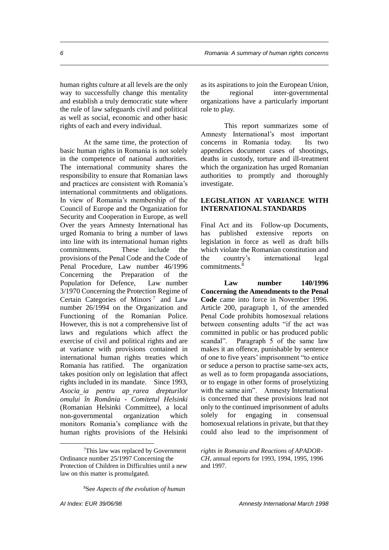human rights culture at all levels are the only way to successfully change this mentality and establish a truly democratic state where the rule of law safeguards civil and political as well as social, economic and other basic rights of each and every individual.

At the same time, the protection of basic human rights in Romania is not solely in the competence of national authorities. The international community shares the responsibility to ensure that Romanian laws and practices are consistent with Romania's international commitments and obligations. In view of Romania's membership of the Council of Europe and the Organization for Security and Cooperation in Europe, as well Over the years Amnesty International has urged Romania to bring a number of laws into line with its international human rights commitments. These include the provisions of the Penal Code and the Code of Penal Procedure, Law number 46/1996 Concerning the Preparation of the Population for Defence, Law number 3/1970 Concerning the Protection Regime of Certain Categories of Minors<sup>7</sup> and Law number 26/1994 on the Organization and Functioning of the Romanian Police. However, this is not a comprehensive list of laws and regulations which affect the exercise of civil and political rights and are at variance with provisions contained in international human rights treaties which Romania has ratified. The organization takes position only on legislation that affect rights included in its mandate. Since 1993, *Asociaia pentru aprarea drepturilor omului în România - Comitetul Helsinki* (Romanian Helsinki Committee), a local non-governmental organization which monitors Romania's compliance with the human rights provisions of the Helsinki as its aspirations to join the European Union, the regional inter-governmental organizations have a particularly important role to play.

This report summarizes some of Amnesty International's most important concerns in Romania today. Its two appendices document cases of shootings, deaths in custody, torture and ill-treatment which the organization has urged Romanian authorities to promptly and thoroughly investigate.

#### **LEGISLATION AT VARIANCE WITH INTERNATIONAL STANDARDS**

Final Act and its Follow-up Documents, has published extensive reports on legislation in force as well as draft bills which violate the Romanian constitution and the country's international legal commitments.<sup>8</sup>

**Law number 140/1996 Concerning the Amendments to the Penal Code** came into force in November 1996. Article 200, paragraph 1, of the amended Penal Code prohibits homosexual relations between consenting adults "if the act was committed in public or has produced public scandal". Paragraph 5 of the same law makes it an offence, punishable by sentence of one to five years' imprisonment "to entice or seduce a person to practise same-sex acts, as well as to form propaganda associations, or to engage in other forms of proselytizing with the same aim". Amnesty International is concerned that these provisions lead not only to the continued imprisonment of adults solely for engaging in consensual homosexual relations in private, but that they could also lead to the imprisonment of

<sup>7</sup>This law was replaced by Government Ordinance number 25/1997 Concerning the Protection of Children in Difficulties until a new law on this matter is promulgated.

*rights in Romania and Reactions of APADOR-CH,* annual reports for 1993, 1994, 1995, 1996 and 1997.

<sup>8</sup>See *Aspects of the evolution of human*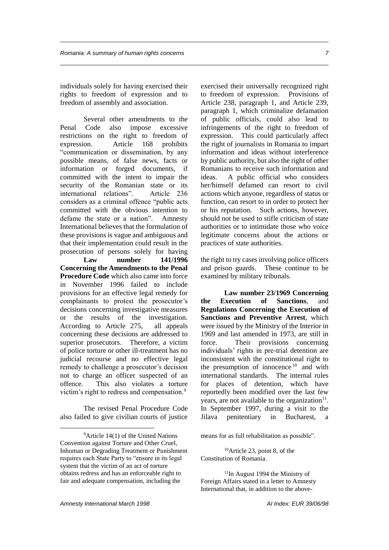individuals solely for having exercised their rights to freedom of expression and to freedom of assembly and association.

Several other amendments to the Penal Code also impose excessive restrictions on the right to freedom of expression. Article 168 prohibits "communication or dissemination, by any possible means, of false news, facts or information or forged documents, if committed with the intent to impair the security of the Romanian state or its international relations". Article 236 considers as a criminal offence "public acts committed with the obvious intention to defame the state or a nation". Amnesty International believes that the formulation of these provisions is vague and ambiguous and that their implementation could result in the prosecution of persons solely for having

**Law number 141/1996 Concerning the Amendments to the Penal Procedure Code** which also came into force in November 1996 failed to include provisions for an effective legal remedy for complainants to protest the prosecutor's decisions concerning investigative measures or the results of the investigation. According to Article 275, all appeals concerning these decisions are addressed to superior prosecutors. Therefore, a victim of police torture or other ill-treatment has no judicial recourse and no effective legal remedy to challenge a prosecutor's decision not to charge an officer suspected of an offence. This also violates a torture victim's right to redress and compensation.<sup>9</sup>

The revised Penal Procedure Code also failed to give civilian courts of justice exercised their universally recognized right to freedom of expression. Provisions of Article 238, paragraph 1, and Article 239, paragraph 1, which criminalize defamation of public officials, could also lead to infringements of the right to freedom of expression. This could particularly affect the right of journalists in Romania to impart information and ideas without interference by public authority, but also the right of other Romanians to receive such information and ideas. A public official who considers her/himself defamed can resort to civil actions which anyone, regardless of status or function, can resort to in order to protect her or his reputation. Such actions, however, should not be used to stifle criticism of state authorities or to intimidate those who voice legitimate concerns about the actions or practices of state authorities.

the right to try cases involving police officers and prison guards. These continue to be examined by military tribunals.

**Law number 23/1969 Concerning the Execution of Sanctions**, and **Regulations Concerning the Execution of Sanctions and Preventive Arrest**, which were issued by the Ministry of the Interior in 1969 and last amended in 1973, are still in force. Their provisions concerning individuals' rights in pre-trial detention are inconsistent with the constitutional right to the presumption of innocence  $10$  and with international standards. The internal rules for places of detention, which have reportedly been modified over the last few years, are not available to the organization $11$ . In September 1997, during a visit to the Jilava penitentiary in Bucharest, a

means for as full rehabilitation as possible".

 $10$ Article 23, point 8, of the Constitution of Romania.

 $9$ Article 14(1) of the United Nations Convention against Torture and Other Cruel, Inhuman or Degrading Treatment or Punishment requires each State Party to "ensure in its legal system that the victim of an act of torture obtains redress and has an enforceable right to fair and adequate compensation, including the

<sup>&</sup>lt;sup>11</sup>In August 1994 the Ministry of Foreign Affairs stated in a letter to Amnesty International that, in addition to the above-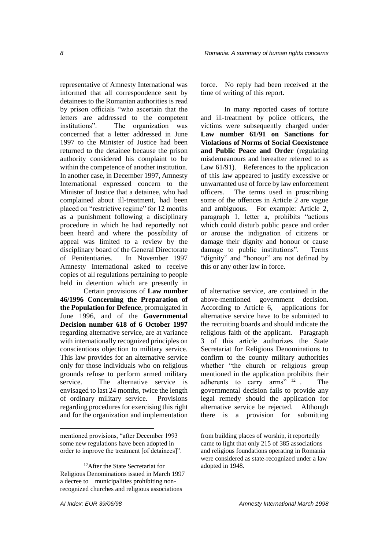representative of Amnesty International was informed that all correspondence sent by detainees to the Romanian authorities is read by prison officials "who ascertain that the letters are addressed to the competent institutions". The organization was concerned that a letter addressed in June 1997 to the Minister of Justice had been returned to the detainee because the prison authority considered his complaint to be within the competence of another institution. In another case, in December 1997, Amnesty International expressed concern to the Minister of Justice that a detainee, who had complained about ill-treatment, had been placed on "restrictive regime" for 12 months as a punishment following a disciplinary procedure in which he had reportedly not been heard and where the possibility of appeal was limited to a review by the disciplinary board of the General Directorate of Penitentiaries. In November 1997 Amnesty International asked to receive copies of all regulations pertaining to people held in detention which are presently in

Certain provisions of **Law number 46/1996 Concerning the Preparation of the Population for Defence**, promulgated in June 1996, and of the **Governmental Decision number 618 of 6 October 1997** regarding alternative service, are at variance with internationally recognized principles on conscientious objection to military service. This law provides for an alternative service only for those individuals who on religious grounds refuse to perform armed military service. The alternative service is envisaged to last 24 months, twice the length of ordinary military service. Provisions regarding procedures for exercising this right and for the organization and implementation

force. No reply had been received at the time of writing of this report.

In many reported cases of torture and ill-treatment by police officers, the victims were subsequently charged under **Law number 61/91 on Sanctions for Violations of Norms of Social Coexistence and Public Peace and Order** (regulating misdemeanours and hereafter referred to as Law 61/91). References to the application of this law appeared to justify excessive or unwarranted use of force by law enforcement officers. The terms used in proscribing some of the offences in Article 2 are vague and ambiguous. For example: Article 2, paragraph 1, letter a, prohibits "actions which could disturb public peace and order or arouse the indignation of citizens or damage their dignity and honour or cause damage to public institutions". Terms "dignity" and "honour" are not defined by this or any other law in force.

of alternative service, are contained in the above-mentioned government decision. According to Article 6, applications for alternative service have to be submitted to the recruiting boards and should indicate the religious faith of the applicant. Paragraph 3 of this article authorizes the State Secretariat for Religious Denominations to confirm to the county military authorities whether "the church or religious group mentioned in the application prohibits their adherents to carry arms" <sup>12</sup>. . The governmental decision fails to provide any legal remedy should the application for alternative service be rejected. Although there is a provision for submitting

mentioned provisions, "after December 1993 some new regulations have been adopted in order to improve the treatment [of detainees]".

<sup>&</sup>lt;sup>12</sup>After the State Secretariat for Religious Denominations issued in March 1997 a decree to municipalities prohibiting nonrecognized churches and religious associations

from building places of worship, it reportedly came to light that only 215 of 385 associations and religious foundations operating in Romania were considered as state-recognized under a law adopted in 1948.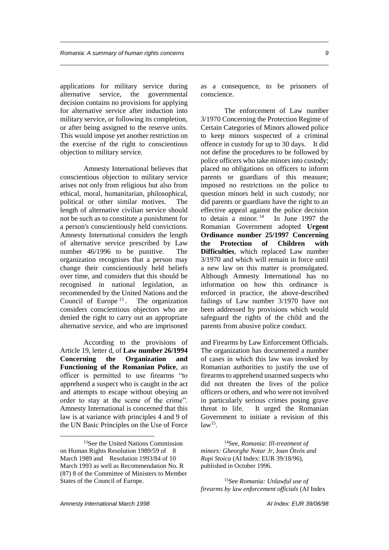applications for military service during alternative service, the governmental decision contains no provisions for applying for alternative service after induction into military service, or following its completion, or after being assigned to the reserve units. This would impose yet another restriction on the exercise of the right to conscientious objection to military service.

Amnesty International believes that conscientious objection to military service arises not only from religious but also from ethical, moral, humanitarian, philosophical, political or other similar motives. The length of alternative civilian service should not be such as to constitute a punishment for a person's conscientiously held convictions. Amnesty International considers the length of alternative service prescribed by Law number 46/1996 to be punitive. The organization recognises that a person may change their conscientiously held beliefs over time, and considers that this should be recognised in national legislation, as recommended by the United Nations and the Council of Europe<sup>13</sup>. The organization considers conscientious objectors who are denied the right to carry out an appropriate alternative service, and who are imprisoned

According to the provisions of Article 19, letter d, of **Law number 26/1994 Concerning the Organization and Functioning of the Romanian Police**, an officer is permitted to use firearms "to apprehend a suspect who is caught in the act and attempts to escape without obeying an order to stay at the scene of the crime". Amnesty International is concerned that this law is at variance with principles 4 and 9 of the UN Basic Principles on the Use of Force

as a consequence, to be prisoners of conscience.

The enforcement of Law number 3/1970 Concerning the Protection Regime of Certain Categories of Minors allowed police to keep minors suspected of a criminal offence in custody for up to 30 days. It did not define the procedures to be followed by police officers who take minors into custody; placed no obligations on officers to inform parents or guardians of this measure; imposed no restrictions on the police to question minors held in such custody; nor did parents or guardians have the right to an effective appeal against the police decision to detain a minor.  $14$  In June 1997 the Romanian Government adopted **Urgent Ordinance number 25/1997 Concerning the Protection of Children with Difficulties**, which replaced Law number 3/1970 and which will remain in force until a new law on this matter is promulgated. Although Amnesty International has no information on how this ordinance is enforced in practice, the above-described failings of Law number 3/1970 have not been addressed by provisions which would safeguard the rights of the child and the parents from abusive police conduct.

and Firearms by Law Enforcement Officials. The organization has documented a number of cases in which this law was invoked by Romanian authorities to justify the use of firearms to apprehend unarmed suspects who did not threaten the lives of the police officers or others, and who were not involved in particularly serious crimes posing grave threat to life. It urged the Romanian Government to initiate a revision of this  $law<sup>15</sup>$ .

<sup>14</sup>See, *Romania: Ill-treatment of minors: Gheorghe Notar Jr, Ioan Ötvös and Rupi Stoica* (AI Index: EUR 39/18/96), published in October 1996.

<sup>15</sup>See *Romania: Unlawful use of firearms by law enforcement officials* (AI Index

<sup>13</sup>See the United Nations Commission on Human Rights Resolution 1989/59 of 8 March 1989 and Resolution 1993/84 of 10 March 1993 as well as Recommendation No. R (87) 8 of the Committee of Ministers to Member States of the Council of Europe.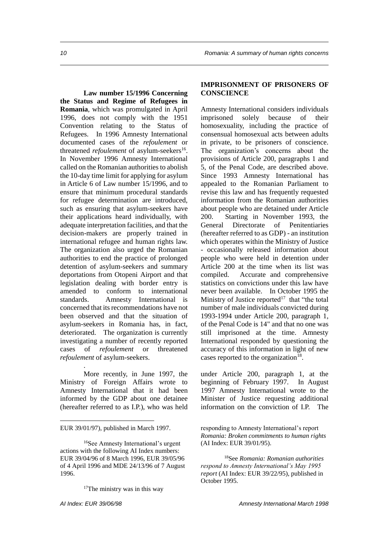**Law number 15/1996 Concerning the Status and Regime of Refugees in Romania**, which was promulgated in April 1996, does not comply with the 1951 Convention relating to the Status of Refugees. In 1996 Amnesty International documented cases of the *refoulement* or threatened *refoulement* of asylum-seekers<sup>16</sup>. In November 1996 Amnesty International called on the Romanian authorities to abolish the 10-day time limit for applying for asylum in Article 6 of Law number 15/1996, and to ensure that minimum procedural standards for refugee determination are introduced, such as ensuring that asylum-seekers have their applications heard individually, with adequate interpretation facilities, and that the decision-makers are properly trained in international refugee and human rights law. The organization also urged the Romanian authorities to end the practice of prolonged detention of asylum-seekers and summary deportations from Otopeni Airport and that legislation dealing with border entry is amended to conform to international standards. Amnesty International is concerned that its recommendations have not been observed and that the situation of asylum-seekers in Romania has, in fact, deteriorated. The organization is currently investigating a number of recently reported cases of *refoulement* or threatened *refoulement* of asylum-seekers.

. More recently, in June 1997, the Ministry of Foreign Affairs wrote to Amnesty International that it had been informed by the GDP about one detainee (hereafter referred to as I.P.), who was held

<sup>17</sup>The ministry was in this way

 $\overline{a}$ 

#### **IMPRISONMENT OF PRISONERS OF CONSCIENCE**

Amnesty International considers individuals imprisoned solely because of their homosexuality, including the practice of consensual homosexual acts between adults in private, to be prisoners of conscience. The organization's concerns about the provisions of Article 200, paragraphs 1 and 5, of the Penal Code, are described above. Since 1993 Amnesty International has appealed to the Romanian Parliament to revise this law and has frequently requested information from the Romanian authorities about people who are detained under Article 200. Starting in November 1993, the General Directorate of Penitentiaries (hereafter referred to as GDP) - an institution which operates within the Ministry of Justice - occasionally released information about people who were held in detention under Article 200 at the time when its list was compiled. Accurate and comprehensive statistics on convictions under this law have never been available. In October 1995 the Ministry of Justice reported<sup>17</sup> that "the total" number of male individuals convicted during 1993-1994 under Article 200, paragraph 1, of the Penal Code is 14" and that no one was still imprisoned at the time. Amnesty International responded by questioning the accuracy of this information in light of new cases reported to the organization<sup>18</sup>.

under Article 200, paragraph 1, at the beginning of February 1997. In August 1997 Amnesty International wrote to the Minister of Justice requesting additional information on the conviction of I.P. The

<sup>18</sup>See *Romania: Romanian authorities respond to Amnesty International's May 1995 report* (AI Index: EUR 39/22/95), published in October 1995.

EUR 39/01/97), published in March 1997.

<sup>16</sup>See Amnesty International's urgent actions with the following AI Index numbers: EUR 39/04/96 of 8 March 1996, EUR 39/05/96 of 4 April 1996 and MDE 24/13/96 of 7 August 1996.

responding to Amnesty International's report *Romania: Broken commitments to human rights* (AI Index: EUR 39/01/95).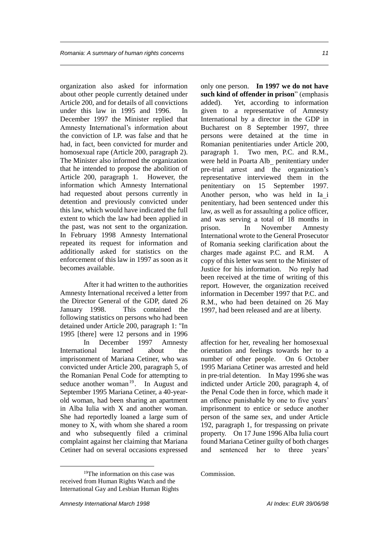organization also asked for information about other people currently detained under Article 200, and for details of all convictions under this law in 1995 and 1996. In December 1997 the Minister replied that Amnesty International's information about the conviction of I.P. was false and that he had, in fact, been convicted for murder and homosexual rape (Article 200, paragraph 2). The Minister also informed the organization that he intended to propose the abolition of Article 200, paragraph 1. However, the information which Amnesty International had requested about persons currently in detention and previously convicted under this law, which would have indicated the full extent to which the law had been applied in the past, was not sent to the organization. In February 1998 Amnesty International repeated its request for information and additionally asked for statistics on the enforcement of this law in 1997 as soon as it becomes available.

After it had written to the authorities Amnesty International received a letter from the Director General of the GDP, dated 26 January 1998. This contained the following statistics on persons who had been detained under Article 200, paragraph 1: "In 1995 [there] were 12 persons and in 1996 In December 1997 Amnesty International learned about the imprisonment of Mariana Cetiner, who was convicted under Article 200, paragraph 5, of the Romanian Penal Code for attempting to seduce another woman $19$ . In August and September 1995 Mariana Cetiner, a 40-yearold woman, had been sharing an apartment in Alba Iulia with X and another woman. She had reportedly loaned a large sum of money to X, with whom she shared a room and who subsequently filed a criminal complaint against her claiming that Mariana Cetiner had on several occasions expressed

only one person. **In 1997 we do not have such kind of offender in prison**" (emphasis added). Yet, according to information given to a representative of Amnesty International by a director in the GDP in Bucharest on 8 September 1997, three persons were detained at the time in Romanian penitentiaries under Article 200, paragraph 1. Two men, P.C. and R.M., were held in Poarta Alb penitentiary under pre-trial arrest and the organization's representative interviewed them in the penitentiary on 15 September 1997. Another person, who was held in Ia i penitentiary, had been sentenced under this law, as well as for assaulting a police officer, and was serving a total of 18 months in prison. In November Amnesty International wrote to the General Prosecutor of Romania seeking clarification about the charges made against P.C. and R.M. A copy of this letter was sent to the Minister of Justice for his information. No reply had been received at the time of writing of this report. However, the organization received information in December 1997 that P.C. and R.M., who had been detained on 26 May 1997, had been released and are at liberty.

affection for her, revealing her homosexual orientation and feelings towards her to a number of other people. On 6 October 1995 Mariana Cetiner was arrested and held in pre-trial detention. In May 1996 she was indicted under Article 200, paragraph 4, of the Penal Code then in force, which made it an offence punishable by one to five years' imprisonment to entice or seduce another person of the same sex, and under Article 192, paragraph 1, for trespassing on private property. On 17 June 1996 Alba Iulia court found Mariana Cetiner guilty of both charges and sentenced her to three years'

Commission.

<sup>19</sup>The information on this case was received from Human Rights Watch and the International Gay and Lesbian Human Rights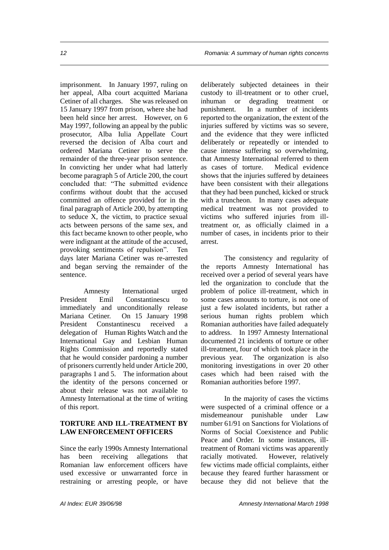imprisonment. In January 1997, ruling on her appeal, Alba court acquitted Mariana Cetiner of all charges. She was released on 15 January 1997 from prison, where she had been held since her arrest. However, on 6 May 1997, following an appeal by the public prosecutor, Alba Iulia Appellate Court reversed the decision of Alba court and ordered Mariana Cetiner to serve the remainder of the three-year prison sentence. In convicting her under what had latterly become paragraph 5 of Article 200, the court concluded that: "The submitted evidence confirms without doubt that the accused committed an offence provided for in the final paragraph of Article 200, by attempting to seduce X, the victim, to practice sexual acts between persons of the same sex, and this fact became known to other people, who were indignant at the attitude of the accused, provoking sentiments of repulsion". Ten days later Mariana Cetiner was re-arrested and began serving the remainder of the sentence.

Amnesty International urged President Emil Constantinescu to immediately and unconditionally release Mariana Cetiner. On 15 January 1998 President Constantinescu received a delegation of Human Rights Watch and the International Gay and Lesbian Human Rights Commission and reportedly stated that he would consider pardoning a number of prisoners currently held under Article 200, paragraphs 1 and 5. The information about the identity of the persons concerned or about their release was not available to Amnesty International at the time of writing of this report.

#### **TORTURE AND ILL-TREATMENT BY LAW ENFORCEMENT OFFICERS**

Since the early 1990s Amnesty International has been receiving allegations that Romanian law enforcement officers have used excessive or unwarranted force in restraining or arresting people, or have

deliberately subjected detainees in their custody to ill-treatment or to other cruel, inhuman or degrading treatment or punishment. In a number of incidents reported to the organization, the extent of the injuries suffered by victims was so severe, and the evidence that they were inflicted deliberately or repeatedly or intended to cause intense suffering so overwhelming, that Amnesty International referred to them as cases of torture. Medical evidence shows that the injuries suffered by detainees have been consistent with their allegations that they had been punched, kicked or struck with a truncheon. In many cases adequate medical treatment was not provided to victims who suffered injuries from illtreatment or, as officially claimed in a number of cases, in incidents prior to their arrest.

The consistency and regularity of the reports Amnesty International has received over a period of several years have led the organization to conclude that the problem of police ill-treatment, which in some cases amounts to torture, is not one of just a few isolated incidents, but rather a serious human rights problem which Romanian authorities have failed adequately to address. In 1997 Amnesty International documented 21 incidents of torture or other ill-treatment, four of which took place in the previous year. The organization is also monitoring investigations in over 20 other cases which had been raised with the Romanian authorities before 1997.

In the majority of cases the victims were suspected of a criminal offence or a misdemeanour punishable under Law number 61/91 on Sanctions for Violations of Norms of Social Coexistence and Public Peace and Order. In some instances, illtreatment of Romani victims was apparently racially motivated. However, relatively few victims made official complaints, either because they feared further harassment or because they did not believe that the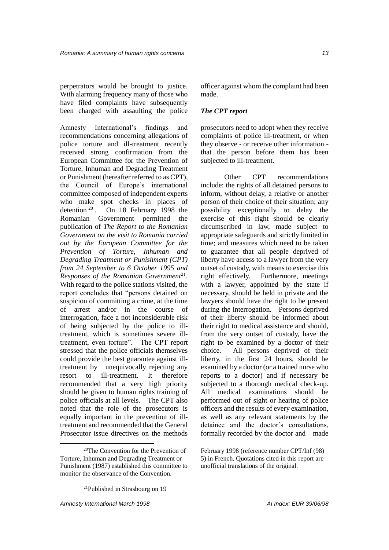been charged with assaulting the police

perpetrators would be brought to justice. With alarming frequency many of those who have filed complaints have subsequently

Amnesty International's findings and recommendations concerning allegations of police torture and ill-treatment recently received strong confirmation from the European Committee for the Prevention of Torture, Inhuman and Degrading Treatment or Punishment (hereafter referred to as CPT), the Council of Europe's international committee composed of independent experts who make spot checks in places of detention <sup>20</sup>. On 18 February 1998 the Romanian Government permitted the publication of *The Report to the Romanian Government on the visit to Romania carried out by the European Committee for the Prevention of Torture, Inhuman and Degrading Treatment or Punishment (CPT) from 24 September to 6 October 1995 and*  Responses of the Romanian Government<sup>21</sup>. With regard to the police stations visited, the report concludes that "persons detained on suspicion of committing a crime, at the time of arrest and/or in the course of interrogation, face a not inconsiderable risk of being subjected by the police to illtreatment, which is sometimes severe illtreatment, even torture". The CPT report stressed that the police officials themselves could provide the best guarantee against illtreatment by unequivocally rejecting any resort to ill-treatment. It therefore recommended that a very high priority should be given to human rights training of police officials at all levels. The CPT also noted that the role of the prosecutors is equally important in the prevention of illtreatment and recommended that the General Prosecutor issue directives on the methods

officer against whom the complaint had been made.

#### *The CPT report*

prosecutors need to adopt when they receive complaints of police ill-treatment, or when they observe - or receive other information that the person before them has been subjected to ill-treatment.

Other CPT recommendations include: the rights of all detained persons to inform, without delay, a relative or another person of their choice of their situation; any possibility exceptionally to delay the exercise of this right should be clearly circumscribed in law, made subject to appropriate safeguards and strictly limited in time; and measures which need to be taken to guarantee that all people deprived of liberty have access to a lawyer from the very outset of custody, with means to exercise this right effectively. Furthermore, meetings with a lawyer, appointed by the state if necessary, should be held in private and the lawyers should have the right to be present during the interrogation. Persons deprived of their liberty should be informed about their right to medical assistance and should, from the very outset of custody, have the right to be examined by a doctor of their choice. All persons deprived of their liberty, in the first 24 hours, should be examined by a doctor (or a trained nurse who reports to a doctor) and if necessary be subjected to a thorough medical check-up. All medical examinations should be performed out of sight or hearing of police officers and the results of every examination, as well as any relevant statements by the detainee and the doctor's consultations, formally recorded by the doctor and made

<sup>20</sup>The Convention for the Prevention of Torture, Inhuman and Degrading Treatment or Punishment (1987) established this committee to monitor the observance of the Convention.

February 1998 (reference number CPT/Inf (98) 5) in French. Quotations cited in this report are unofficial translations of the original.

 $21$ Published in Strasbourg on 19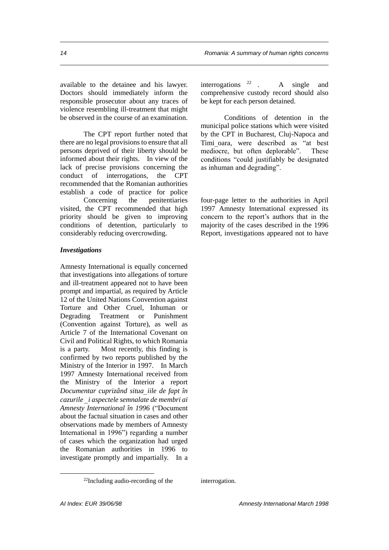available to the detainee and his lawyer. Doctors should immediately inform the responsible prosecutor about any traces of violence resembling ill-treatment that might be observed in the course of an examination.

The CPT report further noted that there are no legal provisions to ensure that all persons deprived of their liberty should be informed about their rights. In view of the lack of precise provisions concerning the conduct of interrogations, the CPT recommended that the Romanian authorities establish a code of practice for police Concerning the penitentiaries visited, the CPT recommended that high priority should be given to improving conditions of detention, particularly to considerably reducing overcrowding.

#### *Investigations*

Amnesty International is equally concerned that investigations into allegations of torture and ill-treatment appeared not to have been prompt and impartial, as required by Article 12 of the United Nations Convention against Torture and Other Cruel, Inhuman or Degrading Treatment or Punishment (Convention against Torture), as well as Article 7 of the International Covenant on Civil and Political Rights, to which Romania is a party. Most recently, this finding is confirmed by two reports published by the Ministry of the Interior in 1997. In March 1997 Amnesty International received from the Ministry of the Interior a report *Documentar cuprizând situaiile de fapt în cazurile i aspectele semnalate de membri ai Amnesty International în 1996* ("Document about the factual situation in cases and other observations made by members of Amnesty International in 1996") regarding a number of cases which the organization had urged the Romanian authorities in 1996 to investigate promptly and impartially. In a interrogations  $2^2$  . A single and comprehensive custody record should also be kept for each person detained.

Conditions of detention in the municipal police stations which were visited by the CPT in Bucharest, Cluj-Napoca and Timioara, were described as "at best mediocre, but often deplorable". These conditions "could justifiably be designated as inhuman and degrading".

four-page letter to the authorities in April 1997 Amnesty International expressed its concern to the report's authors that in the majority of the cases described in the 1996 Report, investigations appeared not to have

interrogation.

<sup>22</sup>Including audio-recording of the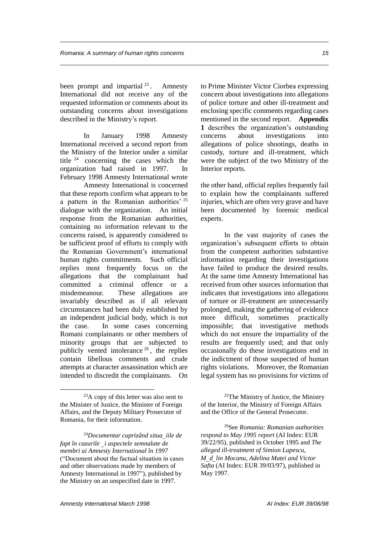been prompt and impartial  $2^3$ . Amnesty International did not receive any of the requested information or comments about its outstanding concerns about investigations described in the Ministry's report.

In January 1998 Amnesty International received a second report from the Ministry of the Interior under a similar title <sup>24</sup> concerning the cases which the organization had raised in 1997. In February 1998 Amnesty International wrote

Amnesty International is concerned that these reports confirm what appears to be a pattern in the Romanian authorities' <sup>25</sup> dialogue with the organization. An initial response from the Romanian authorities, containing no information relevant to the concerns raised, is apparently considered to be sufficient proof of efforts to comply with the Romanian Government's international human rights commitments. Such official replies most frequently focus on the allegations that the complainant had committed a criminal offence or a misdemeanour. These allegations are invariably described as if all relevant circumstances had been duly established by an independent judicial body, which is not the case. In some cases concerning Romani complainants or other members of minority groups that are subjected to publicly vented intolerance <sup>26</sup> , the replies contain libellous comments and crude attempts at character assassination which are intended to discredit the complainants. On

 $\overline{a}$ 

<sup>24</sup>*Documentar cuprizând situaiile de fapt în cazurile i aspectele semnalate de membri ai Amnesty International în 1997*  ("Document about the factual situation in cases and other observations made by members of Amnesty International in 1997"), published by the Ministry on an unspecified date in 1997.

to Prime Minister Victor Ciorbea expressing concern about investigations into allegations of police torture and other ill-treatment and enclosing specific comments regarding cases mentioned in the second report. **Appendix 1** describes the organization's outstanding concerns about investigations into allegations of police shootings, deaths in custody, torture and ill-treatment, which were the subject of the two Ministry of the Interior reports.

the other hand, official replies frequently fail to explain how the complainants suffered injuries, which are often very grave and have been documented by forensic medical experts.

In the vast majority of cases the organization's subsequent efforts to obtain from the competent authorities substantive information regarding their investigations have failed to produce the desired results. At the same time Amnesty International has received from other sources information that indicates that investigations into allegations of torture or ill-treatment are unnecessarily prolonged, making the gathering of evidence more difficult, sometimes practically impossible; that investigative methods which do not ensure the impartiality of the results are frequently used; and that only occasionally do these investigations end in the indictment of those suspected of human rights violations. Moreover, the Romanian legal system has no provisions for victims of

 $23A$  copy of this letter was also sent to the Minister of Justice, the Minister of Foreign Affairs, and the Deputy Military Prosecutor of Romania, for their information.

 $25$ The Ministry of Justice, the Ministry of the Interior, the Ministry of Foreign Affairs and the Office of the General Prosecutor.

<sup>26</sup>See *Romania: Romanian authorities respond to May 1995 report* (AI Index: EUR 39/22/95), published in October 1995 and *The alleged ill-treatment of Simion Lupescu, Mdlin Mocanu, Adelina Matei and Victor Safta* (AI Index: EUR 39/03/97), published in May 1997.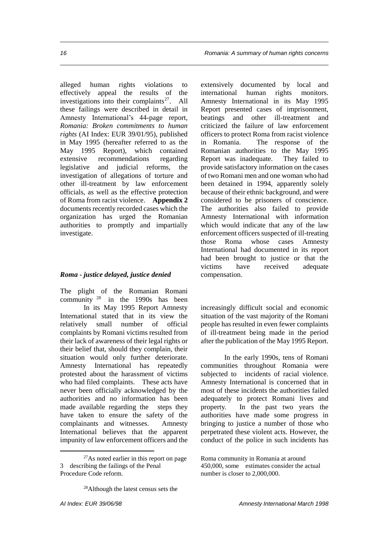alleged human rights violations to effectively appeal the results of the investigations into their complaints<sup>27</sup>. All these failings were described in detail in Amnesty International's 44-page report, *Romania: Broken commitments to human rights* (AI Index: EUR 39/01/95), published in May 1995 (hereafter referred to as the May 1995 Report), which contained extensive recommendations regarding legislative and judicial reforms, the investigation of allegations of torture and other ill-treatment by law enforcement officials, as well as the effective protection of Roma from racist violence. **Appendix 2** documents recently recorded cases which the organization has urged the Romanian authorities to promptly and impartially investigate.

#### *Roma - justice delayed, justice denied*

The plight of the Romanian Romani community <sup>28</sup> in the 1990s has been In its May 1995 Report Amnesty International stated that in its view the relatively small number of official complaints by Romani victims resulted from their lack of awareness of their legal rights or their belief that, should they complain, their situation would only further deteriorate. Amnesty International has repeatedly protested about the harassment of victims who had filed complaints. These acts have never been officially acknowledged by the authorities and no information has been made available regarding the steps they have taken to ensure the safety of the complainants and witnesses. Amnesty International believes that the apparent impunity of law enforcement officers and the

 $\overline{a}$ 

extensively documented by local and international human rights monitors. Amnesty International in its May 1995 Report presented cases of imprisonment, beatings and other ill-treatment and criticized the failure of law enforcement officers to protect Roma from racist violence in Romania. The response of the Romanian authorities to the May 1995 Report was inadequate. They failed to provide satisfactory information on the cases of two Romani men and one woman who had been detained in 1994, apparently solely because of their ethnic background, and were considered to be prisoners of conscience. The authorities also failed to provide Amnesty International with information which would indicate that any of the law enforcement officers suspected of ill-treating those Roma whose cases Amnesty International had documented in its report had been brought to justice or that the victims have received adequate compensation.

increasingly difficult social and economic situation of the vast majority of the Romani people has resulted in even fewer complaints of ill-treatment being made in the period after the publication of the May 1995 Report.

In the early 1990s, tens of Romani communities throughout Romania were subjected to incidents of racial violence. Amnesty International is concerned that in most of these incidents the authorities failed adequately to protect Romani lives and property. In the past two years the authorities have made some progress in bringing to justice a number of those who perpetrated these violent acts. However, the conduct of the police in such incidents has

<sup>27</sup>As noted earlier in this report on page 3 describing the failings of the Penal Procedure Code reform.

<sup>&</sup>lt;sup>28</sup>Although the latest census sets the

Roma community in Romania at around 450,000, some estimates consider the actual number is closer to 2,000,000.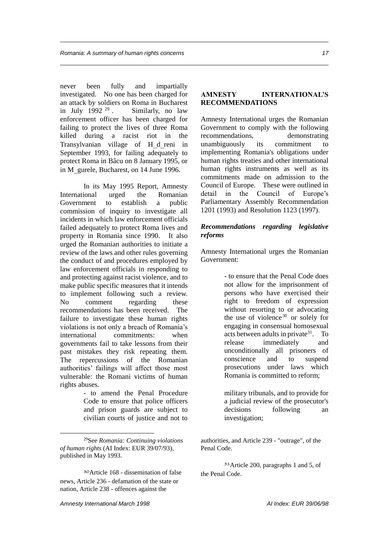never been fully and impartially investigated. No one has been charged for an attack by soldiers on Roma in Bucharest<br>in July 1992  $^{29}$ . Similarly, no law Similarly, no law enforcement officer has been charged for failing to protect the lives of three Roma killed during a racist riot in the Transylvanian village of H d reni in September 1993, for failing adequately to protect Roma in Bâcu on 8 January 1995, or in M gurele, Bucharest, on 14 June 1996.

In its May 1995 Report, Amnesty International urged the Romanian Government to establish a public commission of inquiry to investigate all incidents in which law enforcement officials failed adequately to protect Roma lives and property in Romania since 1990. It also urged the Romanian authorities to initiate a review of the laws and other rules governing the conduct of and procedures employed by law enforcement officials in responding to and protecting against racist violence, and to make public specific measures that it intends to implement following such a review. No comment regarding these recommendations has been received. The failure to investigate these human rights violations is not only a breach of Romania's international commitments: when governments fail to take lessons from their past mistakes they risk repeating them. The repercussions of the Romanian authorities' failings will affect those most vulnerable: the Romani victims of human rights abuses.

> - to amend the Penal Procedure Code to ensure that police officers and prison guards are subject to civilian courts of justice and not to

<sup>29</sup>See *Romania: Continuing violations of human rights* (AI Index: EUR 39/07/93), published in May 1993.

<sup>30</sup>Article 168 - dissemination of false news, Article 236 - defamation of the state or nation, Article 238 - offences against the

#### **AMNESTY INTERNATIONAL'S RECOMMENDATIONS**

Amnesty International urges the Romanian Government to comply with the following recommendations, demonstrating unambiguously its commitment to implementing Romania's obligations under human rights treaties and other international human rights instruments as well as its commitments made on admission to the Council of Europe. These were outlined in detail in the Council of Europe's Parliamentary Assembly Recommendation 1201 (1993) and Resolution 1123 (1997).

#### *Recommendations regarding legislative reforms*

Amnesty International urges the Romanian Government:

> - to ensure that the Penal Code does not allow for the imprisonment of persons who have exercised their right to freedom of expression without resorting to or advocating the use of violence<sup>30</sup> or solely for engaging in consensual homosexual acts between adults in private<sup>31</sup>. To release immediately and unconditionally all prisoners of conscience and to suspend prosecutions under laws which Romania is committed to reform;

> military tribunals, and to provide for a judicial review of the prosecutor's decisions following an investigation;

authorities, and Article 239 - "outrage", of the Penal Code.

<sup>31</sup>Article 200, paragraphs 1 and 5, of the Penal Code.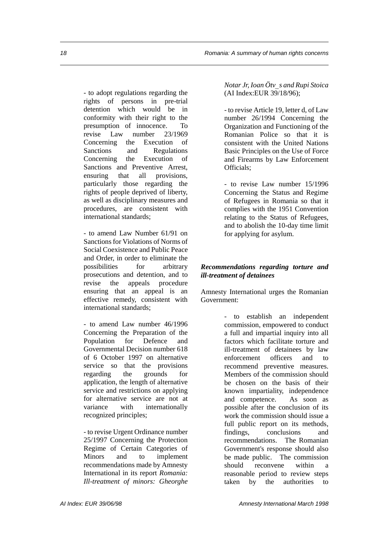- to adopt regulations regarding the rights of persons in pre-trial detention which would be in conformity with their right to the presumption of innocence. To revise Law number 23/1969 Concerning the Execution of Sanctions and Regulations Concerning the Execution of Sanctions and Preventive Arrest, ensuring that all provisions, particularly those regarding the rights of people deprived of liberty, as well as disciplinary measures and procedures, are consistent with international standards;

- to amend Law Number 61/91 on Sanctions for Violations of Norms of Social Coexistence and Public Peace and Order, in order to eliminate the possibilities for arbitrary prosecutions and detention, and to revise the appeals procedure ensuring that an appeal is an effective remedy, consistent with international standards;

- to amend Law number 46/1996 Concerning the Preparation of the Population for Defence and Governmental Decision number 618 of 6 October 1997 on alternative service so that the provisions regarding the grounds for application, the length of alternative service and restrictions on applying for alternative service are not at variance with internationally recognized principles;

- to revise Urgent Ordinance number 25/1997 Concerning the Protection Regime of Certain Categories of Minors and to implement recommendations made by Amnesty International in its report *Romania: Ill-treatment of minors: Gheorghe* 

*Notar Jr, Ioan Ötvs and Rupi Stoica*  (AI Index:EUR 39/18/96);

- to revise Article 19, letter d, of Law number 26/1994 Concerning the Organization and Functioning of the Romanian Police so that it is consistent with the United Nations Basic Principles on the Use of Force and Firearms by Law Enforcement Officials;

- to revise Law number 15/1996 Concerning the Status and Regime of Refugees in Romania so that it complies with the 1951 Convention relating to the Status of Refugees, and to abolish the 10-day time limit for applying for asylum.

#### *Recommendations regarding torture and ill-treatment of detainees*

Amnesty International urges the Romanian Government:

> - to establish an independent commission, empowered to conduct a full and impartial inquiry into all factors which facilitate torture and ill-treatment of detainees by law enforcement officers and to recommend preventive measures. Members of the commission should be chosen on the basis of their known impartiality, independence and competence. As soon as possible after the conclusion of its work the commission should issue a full public report on its methods, findings, conclusions and recommendations. The Romanian Government's response should also be made public. The commission should reconvene within reasonable period to review steps taken by the authorities to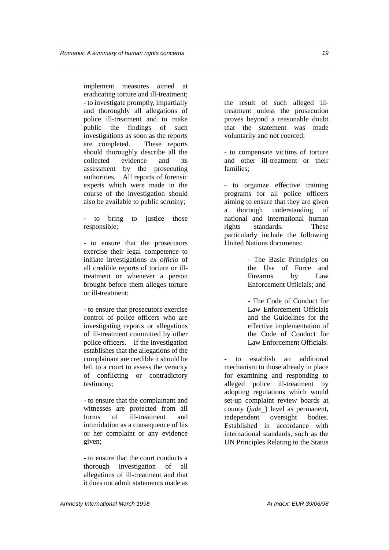implement measures aimed at eradicating torture and ill-treatment; - to investigate promptly, impartially and thoroughly all allegations of police ill-treatment and to make public the findings of such investigations as soon as the reports are completed. These reports should thoroughly describe all the collected evidence and its assessment by the prosecuting authorities. All reports of forensic experts which were made in the course of the investigation should also be available to public scrutiny;

to bring to justice those responsible;

- to ensure that the prosecutors exercise their legal competence to initiate investigations *ex officio* of all credible reports of torture or illtreatment or whenever a person brought before them alleges torture or ill-treatment;

- to ensure that prosecutors exercise control of police officers who are investigating reports or allegations of ill-treatment committed by other police officers. If the investigation establishes that the allegations of the complainant are credible it should be left to a court to assess the veracity of conflicting or contradictory testimony;

- to ensure that the complainant and witnesses are protected from all forms of ill-treatment and intimidation as a consequence of his or her complaint or any evidence given;

- to ensure that the court conducts a thorough investigation of all allegations of ill-treatment and that it does not admit statements made as

the result of such alleged illtreatment unless the prosecution proves beyond a reasonable doubt that the statement was made voluntarily and not coerced;

- to compensate victims of torture and other ill-treatment or their families;

- to organize effective training programs for all police officers aiming to ensure that they are given a thorough understanding of national and international human rights standards. These particularly include the following United Nations documents:

> - The Basic Principles on the Use of Force and Firearms by Law Enforcement Officials; and

> - The Code of Conduct for Law Enforcement Officials and the Guidelines for the effective implementation of the Code of Conduct for Law Enforcement Officials.

to establish an additional mechanism to those already in place for examining and responding to alleged police ill-treatment by adopting regulations which would set-up complaint review boards at county (*jude*) level as permanent, independent oversight bodies. Established in accordance with international standards, such as the UN Principles Relating to the Status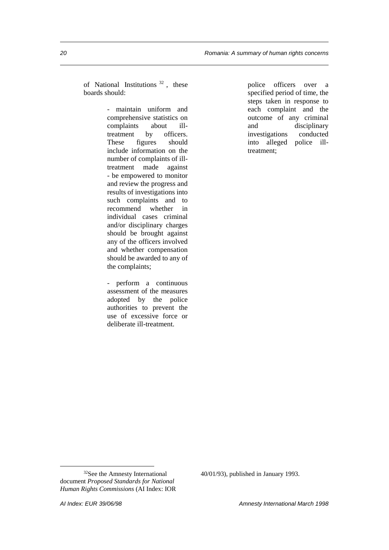of National Institutions <sup>32</sup> , these boards should:

> - maintain uniform and comprehensive statistics on complaints about illtreatment by officers. These figures should include information on the number of complaints of illtreatment made against - be empowered to monitor and review the progress and results of investigations into such complaints and to recommend whether in individual cases criminal and/or disciplinary charges should be brought against any of the officers involved and whether compensation should be awarded to any of the complaints;

- perform a continuous assessment of the measures adopted by the police authorities to prevent the use of excessive force or deliberate ill-treatment.

police officers over a specified period of time, the steps taken in response to each complaint and the outcome of any criminal and disciplinary investigations conducted into alleged police illtreatment;

 $\overline{a}$ 

40/01/93), published in January 1993.

<sup>32</sup>See the Amnesty International document *Proposed Standards for National Human Rights Commissions* (AI Index: IOR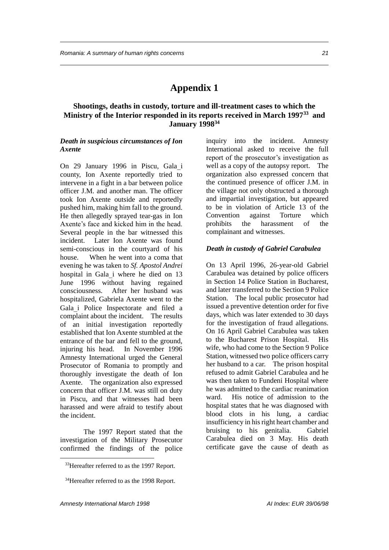## **Appendix 1**

#### **Shootings, deaths in custody, torture and ill-treatment cases to which the Ministry of the Interior responded in its reports received in March 1997<sup>33</sup> and January 1998<sup>34</sup>**

#### *Death in suspicious circumstances of Ion Axente*

On 29 January 1996 in Piscu, Galai county, Ion Axente reportedly tried to intervene in a fight in a bar between police officer J.M. and another man. The officer took Ion Axente outside and reportedly pushed him, making him fall to the ground. He then allegedly sprayed tear-gas in Ion Axente's face and kicked him in the head. Several people in the bar witnessed this incident. Later Ion Axente was found semi-conscious in the courtyard of his house. When he went into a coma that evening he was taken to *Sf. Apostol Andrei* hospital in Gala i where he died on 13 June 1996 without having regained consciousness. After her husband was hospitalized, Gabriela Axente went to the Galai Police Inspectorate and filed a complaint about the incident. The results of an initial investigation reportedly established that Ion Axente stumbled at the entrance of the bar and fell to the ground, injuring his head. In November 1996 Amnesty International urged the General Prosecutor of Romania to promptly and thoroughly investigate the death of Ion Axente. The organization also expressed concern that officer J.M. was still on duty in Piscu, and that witnesses had been harassed and were afraid to testify about the incident.

The 1997 Report stated that the investigation of the Military Prosecutor confirmed the findings of the police inquiry into the incident. Amnesty International asked to receive the full report of the prosecutor's investigation as well as a copy of the autopsy report. The organization also expressed concern that the continued presence of officer J.M. in the village not only obstructed a thorough and impartial investigation, but appeared to be in violation of Article 13 of the Convention against Torture which prohibits the harassment of the complainant and witnesses.

#### *Death in custody of Gabriel Carabulea*

On 13 April 1996, 26-year-old Gabriel Carabulea was detained by police officers in Section 14 Police Station in Bucharest, and later transferred to the Section 9 Police Station. The local public prosecutor had issued a preventive detention order for five days, which was later extended to 30 days for the investigation of fraud allegations. On 16 April Gabriel Carabulea was taken to the Bucharest Prison Hospital. His wife, who had come to the Section 9 Police Station, witnessed two police officers carry her husband to a car. The prison hospital refused to admit Gabriel Carabulea and he was then taken to Fundeni Hospital where he was admitted to the cardiac reanimation ward. His notice of admission to the hospital states that he was diagnosed with blood clots in his lung, a cardiac insufficiency in his right heart chamber and bruising to his genitalia. Gabriel Carabulea died on 3 May. His death certificate gave the cause of death as

<sup>&</sup>lt;sup>33</sup>Hereafter referred to as the 1997 Report.

<sup>&</sup>lt;sup>34</sup>Hereafter referred to as the 1998 Report.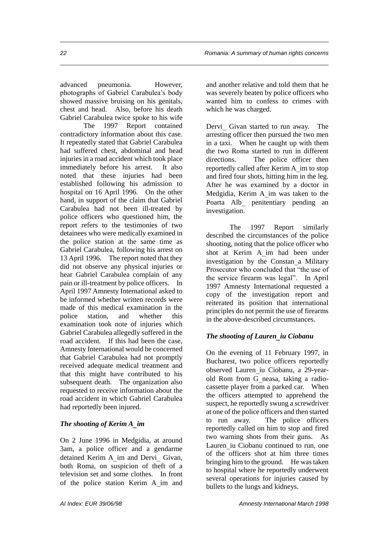advanced pneumonia. However, photographs of Gabriel Carabulea's body showed massive bruising on his genitals, chest and head. Also, before his death Gabriel Carabulea twice spoke to his wife

The 1997 Report contained contradictory information about this case. It repeatedly stated that Gabriel Carabulea had suffered chest, abdominal and head injuries in a road accident which took place immediately before his arrest. It also noted that these injuries had been established following his admission to hospital on 16 April 1996. On the other hand, in support of the claim that Gabriel Carabulea had not been ill-treated by police officers who questioned him, the report refers to the testimonies of two detainees who were medically examined in the police station at the same time as Gabriel Carabulea, following his arrest on 13 April 1996. The report noted that they did not observe any physical injuries or hear Gabriel Carabulea complain of any pain or ill-treatment by police officers. In April 1997 Amnesty International asked to be informed whether written records were made of this medical examination in the police station, and whether this examination took note of injuries which Gabriel Carabulea allegedly suffered in the road accident. If this had been the case, Amnesty International would be concerned that Gabriel Carabulea had not promptly received adequate medical treatment and that this might have contributed to his subsequent death. The organization also requested to receive information about the road accident in which Gabriel Carabulea had reportedly been injured.

#### *The shooting of Kerim Aim*

On 2 June 1996 in Medgidia, at around 3am, a police officer and a gendarme detained Kerim A im and Dervi Givan, both Roma, on suspicion of theft of a television set and some clothes. In front of the police station Kerim Aim and

and another relative and told them that he was severely beaten by police officers who wanted him to confess to crimes with which he was charged.

Dervi Givan started to run away. The arresting officer then pursued the two men in a taxi. When he caught up with them the two Roma started to run in different directions. The police officer then reportedly called after Kerim A im to stop and fired four shots, hitting him in the leg. After he was examined by a doctor in Medgidia, Kerim A im was taken to the Poarta Alb penitentiary pending an investigation.

The 1997 Report similarly described the circumstances of the police shooting, noting that the police officer who shot at Kerim Aim had been under investigation by the Constan a Military Prosecutor who concluded that "the use of the service firearm was legal". In April 1997 Amnesty International requested a copy of the investigation report and reiterated its position that international principles do not permit the use of firearms in the above-described circumstances.

#### *The shooting of Laureniu Ciobanu*

On the evening of 11 February 1997, in Bucharest, two police officers reportedly observed Lauren iu Ciobanu, a 29-yearold Rom from G neasa, taking a radiocassette player from a parked car. When the officers attempted to apprehend the suspect, he reportedly swung a screwdriver at one of the police officers and then started to run away. The police officers reportedly called on him to stop and fired two warning shots from their guns. As Lauren iu Ciobanu continued to run, one of the officers shot at him three times bringing him to the ground. He was taken to hospital where he reportedly underwent several operations for injuries caused by bullets to the lungs and kidneys.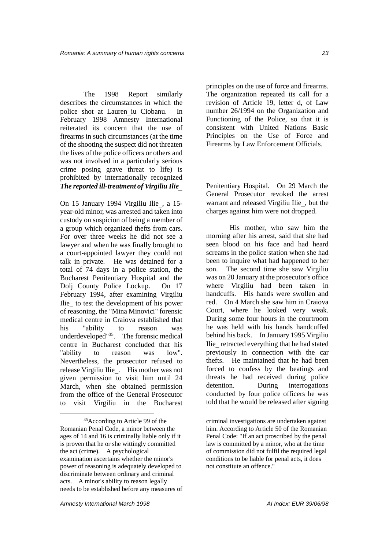The 1998 Report similarly describes the circumstances in which the police shot at Lauren iu Ciobanu. In February 1998 Amnesty International reiterated its concern that the use of firearms in such circumstances (at the time of the shooting the suspect did not threaten the lives of the police officers or others and was not involved in a particularly serious crime posing grave threat to life) is prohibited by internationally recognized *The reported ill-treatment of Virgiliu Ilie*

On 15 January 1994 Virgiliu Ilie, a 15 year-old minor, was arrested and taken into custody on suspicion of being a member of a group which organized thefts from cars. For over three weeks he did not see a lawyer and when he was finally brought to a court-appointed lawyer they could not talk in private. He was detained for a total of 74 days in a police station, the Bucharest Penitentiary Hospital and the Dolj County Police Lockup. On 17 February 1994, after examining Virgiliu Ilie to test the development of his power of reasoning, the "Mina Minovici" forensic medical centre in Craiova established that his "ability to reason was underdeveloped"<sup>35</sup>. The forensic medical centre in Bucharest concluded that his "ability to reason was low". Nevertheless, the prosecutor refused to release Virgiliu Ilie\_. His mother was not given permission to visit him until 24 March, when she obtained permission from the office of the General Prosecutor to visit Virgiliu in the Bucharest

principles on the use of force and firearms. The organization repeated its call for a revision of Article 19, letter d, of Law number 26/1994 on the Organization and Functioning of the Police, so that it is consistent with United Nations Basic Principles on the Use of Force and Firearms by Law Enforcement Officials.

Penitentiary Hospital. On 29 March the General Prosecutor revoked the arrest warrant and released Virgiliu Ilie, but the charges against him were not dropped.

His mother, who saw him the morning after his arrest, said that she had seen blood on his face and had heard screams in the police station when she had been to inquire what had happened to her son. The second time she saw Virgiliu was on 20 January at the prosecutor's office where Virgiliu had been taken in handcuffs. His hands were swollen and red. On 4 March she saw him in Craiova Court, where he looked very weak. During some four hours in the courtroom he was held with his hands handcuffed behind his back. In January 1995 Virgiliu Ilie retracted everything that he had stated previously in connection with the car thefts. He maintained that he had been forced to confess by the beatings and threats he had received during police detention. During interrogations conducted by four police officers he was told that he would be released after signing

<sup>&</sup>lt;sup>35</sup>According to Article 99 of the Romanian Penal Code, a minor between the ages of 14 and 16 is criminally liable only if it is proven that he or she wittingly committed the act (crime). A psychological examination ascertains whether the minor's power of reasoning is adequately developed to discriminate between ordinary and criminal acts. A minor's ability to reason legally needs to be established before any measures of

criminal investigations are undertaken against him. According to Article 50 of the Romanian Penal Code: "If an act proscribed by the penal law is committed by a minor, who at the time of commission did not fulfil the required legal conditions to be liable for penal acts, it does not constitute an offence."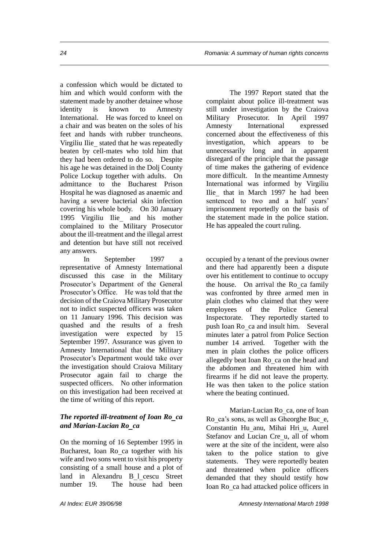a confession which would be dictated to him and which would conform with the statement made by another detainee whose identity is known to Amnesty International. He was forced to kneel on a chair and was beaten on the soles of his feet and hands with rubber truncheons. Virgiliu Ilie stated that he was repeatedly beaten by cell-mates who told him that they had been ordered to do so. Despite his age he was detained in the Dolj County Police Lockup together with adults. On admittance to the Bucharest Prison Hospital he was diagnosed as anaemic and having a severe bacterial skin infection covering his whole body. On 30 January 1995 Virgiliu Ilie and his mother complained to the Military Prosecutor about the ill-treatment and the illegal arrest and detention but have still not received any answers.

In September 1997 a representative of Amnesty International discussed this case in the Military Prosecutor's Department of the General Prosecutor's Office. He was told that the decision of the Craiova Military Prosecutor not to indict suspected officers was taken on 11 January 1996. This decision was quashed and the results of a fresh investigation were expected by 15 September 1997. Assurance was given to Amnesty International that the Military Prosecutor's Department would take over the investigation should Craiova Military Prosecutor again fail to charge the suspected officers. No other information on this investigation had been received at the time of writing of this report.

#### *The reported ill-treatment of Ioan Roca and Marian-Lucian Roca*

On the morning of 16 September 1995 in Bucharest, Ioan Ro ca together with his wife and two sons went to visit his property consisting of a small house and a plot of land in Alexandru B l cescu Street number 19. The house had been

The 1997 Report stated that the complaint about police ill-treatment was still under investigation by the Craiova Military Prosecutor. In April 1997 Amnesty International expressed concerned about the effectiveness of this investigation, which appears to be unnecessarily long and in apparent disregard of the principle that the passage of time makes the gathering of evidence more difficult. In the meantime Amnesty International was informed by Virgiliu Ilie that in March 1997 he had been sentenced to two and a half years' imprisonment reportedly on the basis of the statement made in the police station. He has appealed the court ruling.

occupied by a tenant of the previous owner and there had apparently been a dispute over his entitlement to continue to occupy the house. On arrival the Ro ca family was confronted by three armed men in plain clothes who claimed that they were employees of the Police General Inspectorate. They reportedly started to push Ioan Ro ca and insult him. Several minutes later a patrol from Police Section number 14 arrived. Together with the men in plain clothes the police officers allegedly beat Ioan Ro ca on the head and the abdomen and threatened him with firearms if he did not leave the property. He was then taken to the police station where the beating continued.

Marian-Lucian Roca, one of Ioan Ro ca's sons, as well as Gheorghe Buce, Constantin Hu anu, Mihai Hri u, Aurel Stefanov and Lucian Cre u, all of whom were at the site of the incident, were also taken to the police station to give statements. They were reportedly beaten and threatened when police officers demanded that they should testify how Ioan Roca had attacked police officers in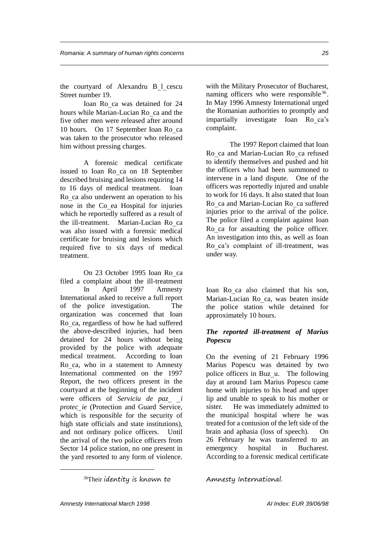the courtyard of Alexandru B l cescu Street number 19.

Ioan Roca was detained for 24 hours while Marian-Lucian Ro ca and the five other men were released after around 10 hours. On 17 September Ioan Roca was taken to the prosecutor who released him without pressing charges.

A forensic medical certificate issued to Ioan Ro ca on 18 September described bruising and lesions requiring 14 to 16 days of medical treatment. Ioan Ro ca also underwent an operation to his nose in the Co ea Hospital for injuries which he reportedly suffered as a result of the ill-treatment. Marian-Lucian Ro ca was also issued with a forensic medical certificate for bruising and lesions which required five to six days of medical treatment.

On 23 October 1995 Ioan Roca filed a complaint about the ill-treatment In April 1997 Amnesty International asked to receive a full report of the police investigation. The organization was concerned that Ioan Roca, regardless of how he had suffered the above-described injuries, had been detained for 24 hours without being provided by the police with adequate medical treatment. According to Ioan Roca, who in a statement to Amnesty International commented on the 1997 Report, the two officers present in the courtyard at the beginning of the incident were officers of *Serviciu de paz i protecie* (Protection and Guard Service, which is responsible for the security of high state officials and state institutions), and not ordinary police officers. Until the arrival of the two police officers from Sector 14 police station, no one present in the yard resorted to any form of violence.

with the Military Prosecutor of Bucharest, naming officers who were responsible  $36$ . In May 1996 Amnesty International urged the Romanian authorities to promptly and impartially investigate Ioan Roca's complaint.

The 1997 Report claimed that Ioan Ro ca and Marian-Lucian Ro ca refused to identify themselves and pushed and hit the officers who had been summoned to intervene in a land dispute. One of the officers was reportedly injured and unable to work for 16 days. It also stated that Ioan Ro ca and Marian-Lucian Ro ca suffered injuries prior to the arrival of the police. The police filed a complaint against Ioan Roca for assaulting the police officer. An investigation into this, as well as Ioan Roca's complaint of ill-treatment, was under way.

Ioan Roca also claimed that his son, Marian-Lucian Ro ca, was beaten inside the police station while detained for approximately 10 hours.

#### *The reported ill-treatment of Marius Popescu*

On the evening of 21 February 1996 Marius Popescu was detained by two police officers in Buz u. The following day at around 1am Marius Popescu came home with injuries to his head and upper lip and unable to speak to his mother or sister. He was immediately admitted to the municipal hospital where he was treated for a contusion of the left side of the brain and aphasia (loss of speech). On 26 February he was transferred to an emergency hospital in Bucharest. According to a forensic medical certificate

Amnesty International.

<sup>36</sup>Their identity is known to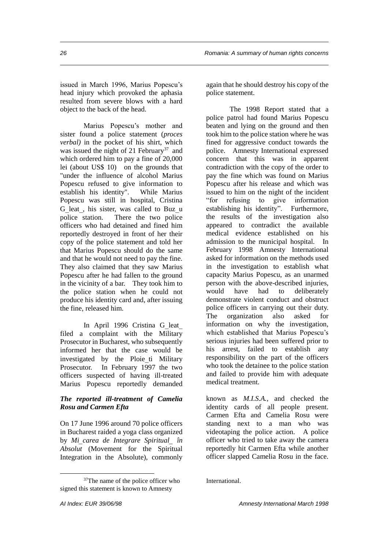issued in March 1996, Marius Popescu's head injury which provoked the aphasia resulted from severe blows with a hard object to the back of the head.

Marius Popescu's mother and sister found a police statement (*proces verbal)* in the pocket of his shirt, which was issued the night of 21 February<sup>37</sup> and which ordered him to pay a fine of 20,000 lei (about US\$ 10) on the grounds that "under the influence of alcohol Marius Popescu refused to give information to establish his identity". While Marius Popescu was still in hospital, Cristina G leat, his sister, was called to Buz u police station. There the two police officers who had detained and fined him reportedly destroyed in front of her their copy of the police statement and told her that Marius Popescu should do the same and that he would not need to pay the fine. They also claimed that they saw Marius Popescu after he had fallen to the ground in the vicinity of a bar. They took him to the police station when he could not produce his identity card and, after issuing the fine, released him.

In April 1996 Cristina G leat filed a complaint with the Military Prosecutor in Bucharest, who subsequently informed her that the case would be investigated by the Ploie ti Military Prosecutor. In February 1997 the two officers suspected of having ill-treated Marius Popescu reportedly demanded

#### *The reported ill-treatment of Camelia Rosu and Carmen Efta*

On 17 June 1996 around 70 police officers in Bucharest raided a yoga class organized by *Micarea de Integrare Spiritual în Absolut* (Movement for the Spiritual Integration in the Absolute), commonly

again that he should destroy his copy of the police statement.

The 1998 Report stated that a police patrol had found Marius Popescu beaten and lying on the ground and then took him to the police station where he was fined for aggressive conduct towards the police. Amnesty International expressed concern that this was in apparent contradiction with the copy of the order to pay the fine which was found on Marius Popescu after his release and which was issued to him on the night of the incident "for refusing to give information establishing his identity". Furthermore, the results of the investigation also appeared to contradict the available medical evidence established on his admission to the municipal hospital. In February 1998 Amnesty International asked for information on the methods used in the investigation to establish what capacity Marius Popescu, as an unarmed person with the above-described injuries, would have had to deliberately demonstrate violent conduct and obstruct police officers in carrying out their duty. The organization also asked for information on why the investigation, which established that Marius Popescu's serious injuries had been suffered prior to his arrest, failed to establish any responsibility on the part of the officers who took the detainee to the police station and failed to provide him with adequate medical treatment.

known as *M.I.S.A.*, and checked the identity cards of all people present. Carmen Efta and Camelia Rosu were standing next to a man who was videotaping the police action. A police officer who tried to take away the camera reportedly hit Carmen Efta while another officer slapped Camelia Rosu in the face.

<sup>&</sup>lt;sup>37</sup>The name of the police officer who signed this statement is known to Amnesty

International.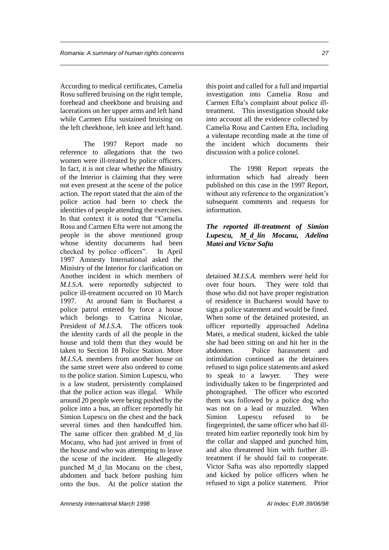According to medical certificates, Camelia Rosu suffered bruising on the right temple, forehead and cheekbone and bruising and lacerations on her upper arms and left hand while Carmen Efta sustained bruising on the left cheekbone, left knee and left hand.

The 1997 Report made no reference to allegations that the two women were ill-treated by police officers. In fact, it is not clear whether the Ministry of the Interior is claiming that they were not even present at the scene of the police action. The report stated that the aim of the police action had been to check the identities of people attending the exercises. In that context it is noted that "Camelia Rosu and Carmen Efta were not among the people in the above mentioned group whose identity documents had been checked by police officers". In April 1997 Amnesty International asked the Ministry of the Interior for clarification on Another incident in which members of *M.I.S.A.* were reportedly subjected to police ill-treatment occurred on 10 March 1997. At around 6am in Bucharest a police patrol entered by force a house which belongs to Catrina Nicolae, President of *M.I.S.A.* The officers took the identity cards of all the people in the house and told them that they would be taken to Section 18 Police Station. More *M.I.S.A.* members from another house on the same street were also ordered to come to the police station. Simion Lupescu, who is a law student, persistently complained that the police action was illegal. While around 20 people were being pushed by the police into a bus, an officer reportedly hit Simion Lupescu on the chest and the back several times and then handcuffed him. The same officer then grabbed M d lin Mocanu, who had just arrived in front of the house and who was attempting to leave the scene of the incident. He allegedly punched M d lin Mocanu on the chest, abdomen and back before pushing him onto the bus. At the police station the this point and called for a full and impartial investigation into Camelia Rosu and Carmen Efta's complaint about police illtreatment. This investigation should take into account all the evidence collected by Camelia Rosu and Carmen Efta, including a videotape recording made at the time of the incident which documents their discussion with a police colonel.

The 1998 Report repeats the information which had already been published on this case in the 1997 Report, without any reference to the organization's subsequent comments and requests for information.

#### *The reported ill-treatment of Simion Lupescu, Mdlin Mocanu, Adelina Matei and Victor Safta*

detained *M.I.S.A.* members were held for over four hours. They were told that those who did not have proper registration of residence in Bucharest would have to sign a police statement and would be fined. When some of the detained protested, an officer reportedly approached Adelina Matei, a medical student, kicked the table she had been sitting on and hit her in the abdomen. Police harassment and intimidation continued as the detainees refused to sign police statements and asked to speak to a lawyer. They were individually taken to be fingerprinted and photographed. The officer who escorted them was followed by a police dog who was not on a lead or muzzled. When Simion Lupescu refused to be fingerprinted, the same officer who had illtreated him earlier reportedly took him by the collar and slapped and punched him, and also threatened him with further illtreatment if he should fail to cooperate. Victor Safta was also reportedly slapped and kicked by police officers when he refused to sign a police statement. Prior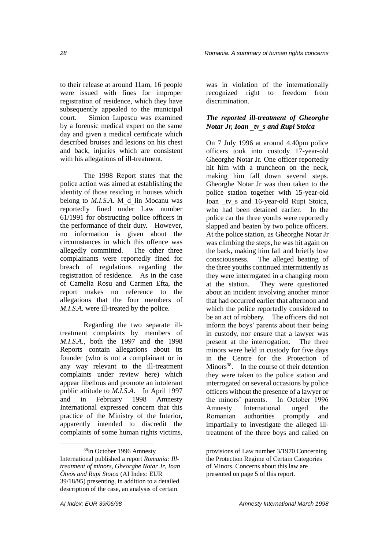to their release at around 11am, 16 people were issued with fines for improper registration of residence, which they have subsequently appealed to the municipal court. Simion Lupescu was examined by a forensic medical expert on the same day and given a medical certificate which described bruises and lesions on his chest and back, injuries which are consistent with his allegations of ill-treatment.

The 1998 Report states that the police action was aimed at establishing the identity of those residing in houses which belong to *M.I.S.A.* M d lin Mocanu was reportedly fined under Law number 61/1991 for obstructing police officers in the performance of their duty. However, no information is given about the circumstances in which this offence was allegedly committed. The other three complainants were reportedly fined for breach of regulations regarding the registration of residence. As in the case of Camelia Rosu and Carmen Efta, the report makes no reference to the allegations that the four members of *M.I.S.A.* were ill-treated by the police.

Regarding the two separate illtreatment complaints by members of *M.I.S.A.*, both the 1997 and the 1998 Reports contain allegations about its founder (who is not a complainant or in any way relevant to the ill-treatment complaints under review here) which appear libellous and promote an intolerant public attitude to *M.I.S.A.* In April 1997 and in February 1998 Amnesty International expressed concern that this practice of the Ministry of the Interior, apparently intended to discredit the complaints of some human rights victims,

 $\overline{a}$ <sup>38</sup>In October 1996 Amnesty International published a report *Romania: Illtreatment of minors, Gheorghe Notar Jr, Ioan Ötvös and Rupi Stoica* (AI Index: EUR 39/18/95) presenting, in addition to a detailed description of the case, an analysis of certain

was in violation of the internationally recognized right to freedom from discrimination.

#### *The reported ill-treatment of Gheorghe Notar Jr, Ioan tvs and Rupi Stoica*

On 7 July 1996 at around 4.40pm police officers took into custody 17-year-old Gheorghe Notar Jr. One officer reportedly hit him with a truncheon on the neck, making him fall down several steps. Gheorghe Notar Jr was then taken to the police station together with 15-year-old Ioan tv s and 16-year-old Rupi Stoica, who had been detained earlier. In the police car the three youths were reportedly slapped and beaten by two police officers. At the police station, as Gheorghe Notar Jr was climbing the steps, he was hit again on the back, making him fall and briefly lose consciousness. The alleged beating of the three youths continued intermittently as they were interrogated in a changing room at the station. They were questioned about an incident involving another minor that had occurred earlier that afternoon and which the police reportedly considered to be an act of robbery. The officers did not inform the boys' parents about their being in custody, nor ensure that a lawyer was present at the interrogation. The three minors were held in custody for five days in the Centre for the Protection of Minors<sup>38</sup>. In the course of their detention they were taken to the police station and interrogated on several occasions by police officers without the presence of a lawyer or the minors' parents. In October 1996 Amnesty International urged the Romanian authorities promptly and impartially to investigate the alleged illtreatment of the three boys and called on

provisions of Law number 3/1970 Concerning the Protection Regime of Certain Categories of Minors. Concerns about this law are presented on page 5 of this report.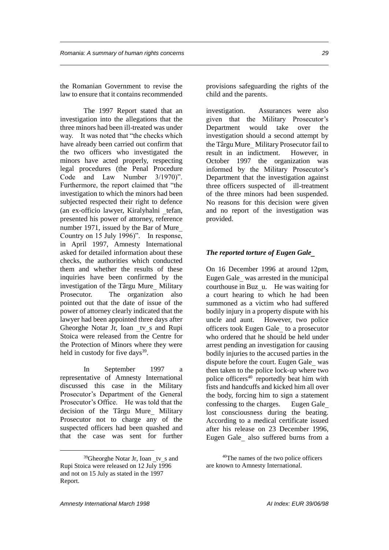the Romanian Government to revise the law to ensure that it contains recommended

The 1997 Report stated that an investigation into the allegations that the three minors had been ill-treated was under way. It was noted that "the checks which have already been carried out confirm that the two officers who investigated the minors have acted properly, respecting legal procedures (the Penal Procedure Code and Law Number 3/1970)". Furthermore, the report claimed that "the investigation to which the minors had been subjected respected their right to defence (an ex-officio lawyer, Kiralyhalni tefan, presented his power of attorney, reference number 1971, issued by the Bar of Mure Country on 15 July 1996)". In response, in April 1997, Amnesty International asked for detailed information about these checks, the authorities which conducted them and whether the results of these inquiries have been confirmed by the investigation of the Târgu Mure Military Prosecutor. The organization also pointed out that the date of issue of the power of attorney clearly indicated that the lawyer had been appointed three days after Gheorghe Notar Jr, Ioan tv s and Rupi Stoica were released from the Centre for the Protection of Minors where they were held in custody for five days<sup>39</sup>.

In September 1997 a representative of Amnesty International discussed this case in the Military Prosecutor's Department of the General Prosecutor's Office. He was told that the decision of the Târgu Mure Military Prosecutor not to charge any of the suspected officers had been quashed and that the case was sent for further provisions safeguarding the rights of the child and the parents.

investigation. Assurances were also given that the Military Prosecutor's Department would take over the investigation should a second attempt by the Târgu Mure Military Prosecutor fail to result in an indictment. However, in October 1997 the organization was informed by the Military Prosecutor's Department that the investigation against three officers suspected of ill-treatment of the three minors had been suspended. No reasons for this decision were given and no report of the investigation was provided.

#### *The reported torture of Eugen Gale*

On 16 December 1996 at around 12pm, Eugen Gale was arrested in the municipal courthouse in Buz u. He was waiting for a court hearing to which he had been summoned as a victim who had suffered bodily injury in a property dispute with his uncle and aunt. However, two police officers took Eugen Gale to a prosecutor who ordered that he should be held under arrest pending an investigation for causing bodily injuries to the accused parties in the dispute before the court. Eugen Gale was then taken to the police lock-up where two police officers<sup>40</sup> reportedly beat him with fists and handcuffs and kicked him all over the body, forcing him to sign a statement confessing to the charges. Eugen Gale lost consciousness during the beating. According to a medical certificate issued after his release on 23 December 1996, Eugen Gale also suffered burns from a

 $39$ Gheorghe Notar Jr, Ioan tv s and Rupi Stoica were released on 12 July 1996 and not on 15 July as stated in the 1997 Report.

<sup>40</sup>The names of the two police officers are known to Amnesty International.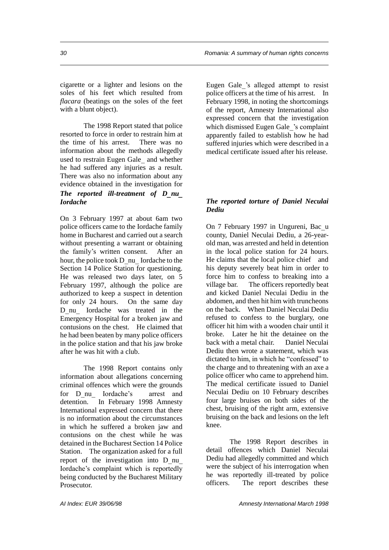cigarette or a lighter and lesions on the soles of his feet which resulted from *flacara* (beatings on the soles of the feet with a blunt object).

The 1998 Report stated that police resorted to force in order to restrain him at the time of his arrest. There was no information about the methods allegedly used to restrain Eugen Gale and whether he had suffered any injuries as a result. There was also no information about any evidence obtained in the investigation for *The reported ill-treatment of Dnu Iordache*

On 3 February 1997 at about 6am two police officers came to the Iordache family home in Bucharest and carried out a search without presenting a warrant or obtaining the family's written consent. After an hour, the police took D nu Iordache to the Section 14 Police Station for questioning. He was released two days later, on 5 February 1997, although the police are authorized to keep a suspect in detention for only 24 hours. On the same day Dnu Iordache was treated in the Emergency Hospital for a broken jaw and contusions on the chest. He claimed that he had been beaten by many police officers in the police station and that his jaw broke after he was hit with a club.

The 1998 Report contains only information about allegations concerning criminal offences which were the grounds for Dnu Iordache's arrest and detention. In February 1998 Amnesty International expressed concern that there is no information about the circumstances in which he suffered a broken jaw and contusions on the chest while he was detained in the Bucharest Section 14 Police Station. The organization asked for a full report of the investigation into D nu Iordache's complaint which is reportedly being conducted by the Bucharest Military **Prosecutor** 

Eugen Gale's alleged attempt to resist police officers at the time of his arrest. In February 1998, in noting the shortcomings of the report, Amnesty International also expressed concern that the investigation which dismissed Eugen Gale's complaint apparently failed to establish how he had suffered injuries which were described in a medical certificate issued after his release.

#### *The reported torture of Daniel Neculai Dediu*

On 7 February 1997 in Ungureni, Bacu county, Daniel Neculai Dediu, a 26-yearold man, was arrested and held in detention in the local police station for 24 hours. He claims that the local police chief and his deputy severely beat him in order to force him to confess to breaking into a village bar. The officers reportedly beat and kicked Daniel Neculai Dediu in the abdomen, and then hit him with truncheons on the back. When Daniel Neculai Dediu refused to confess to the burglary, one officer hit him with a wooden chair until it broke. Later he hit the detainee on the back with a metal chair. Daniel Neculai Dediu then wrote a statement, which was dictated to him, in which he "confessed" to the charge and to threatening with an axe a police officer who came to apprehend him. The medical certificate issued to Daniel Neculai Dediu on 10 February describes four large bruises on both sides of the chest, bruising of the right arm, extensive bruising on the back and lesions on the left knee.

The 1998 Report describes in detail offences which Daniel Neculai Dediu had allegedly committed and which were the subject of his interrogation when he was reportedly ill-treated by police officers. The report describes these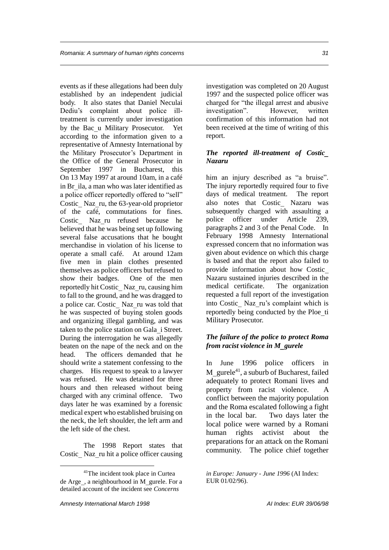events as if these allegations had been duly established by an independent judicial body. It also states that Daniel Neculai Dediu's complaint about police illtreatment is currently under investigation by the Bac u Military Prosecutor. Yet according to the information given to a representative of Amnesty International by the Military Prosecutor's Department in the Office of the General Prosecutor in September 1997 in Bucharest, this On 13 May 1997 at around 10am, in a café in Br ila, a man who was later identified as a police officer reportedly offered to "sell" Costic Naz ru, the  $63$ -year-old proprietor of the café, commutations for fines. Costic Naz ru refused because he believed that he was being set up following several false accusations that he bought merchandise in violation of his license to operate a small café. At around 12am five men in plain clothes presented themselves as police officers but refused to show their badges. One of the men reportedly hit Costic Naz ru, causing him to fall to the ground, and he was dragged to a police car. Costic Naz ru was told that he was suspected of buying stolen goods and organizing illegal gambling, and was taken to the police station on Gala i Street. During the interrogation he was allegedly beaten on the nape of the neck and on the head. The officers demanded that he should write a statement confessing to the charges. His request to speak to a lawyer was refused. He was detained for three hours and then released without being charged with any criminal offence. Two days later he was examined by a forensic medical expert who established bruising on the neck, the left shoulder, the left arm and the left side of the chest.

The 1998 Report states that Costic Naz\_ru hit a police officer causing

investigation was completed on 20 August 1997 and the suspected police officer was charged for "the illegal arrest and abusive investigation". However, written confirmation of this information had not been received at the time of writing of this report.

#### *The reported ill-treatment of Costic Nazaru*

him an injury described as "a bruise". The injury reportedly required four to five days of medical treatment. The report also notes that Costic Nazaru was subsequently charged with assaulting a police officer under Article 239, paragraphs 2 and 3 of the Penal Code. In February 1998 Amnesty International expressed concern that no information was given about evidence on which this charge is based and that the report also failed to provide information about how Costic Nazaru sustained injuries described in the medical certificate. The organization requested a full report of the investigation into Costic Naz ru's complaint which is reportedly being conducted by the Ploe ti Military Prosecutor.

#### *The failure of the police to protect Roma from racist violence in Mgurele*

In June 1996 police officers in M gurele<sup>41</sup>, a suburb of Bucharest, failed adequately to protect Romani lives and property from racist violence. A conflict between the majority population and the Roma escalated following a fight in the local bar. Two days later the local police were warned by a Romani human rights activist about the preparations for an attack on the Romani community. The police chief together

<sup>41</sup>The incident took place in Curtea de Arge\_, a neighbourhood in M\_gurele. For a detailed account of the incident see *Concerns* 

*in Europe: January - June 1996* (AI Index: EUR 01/02/96).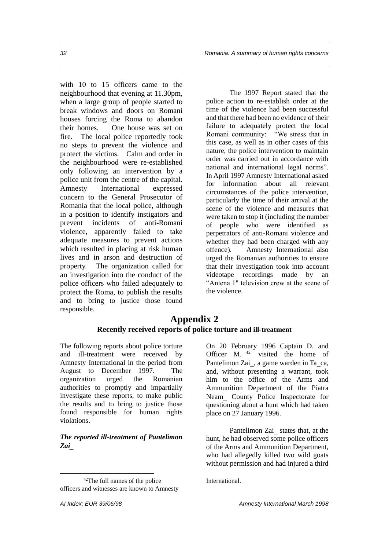with 10 to 15 officers came to the neighbourhood that evening at 11.30pm, when a large group of people started to break windows and doors on Romani houses forcing the Roma to abandon their homes. One house was set on fire. The local police reportedly took no steps to prevent the violence and protect the victims. Calm and order in the neighbourhood were re-established only following an intervention by a police unit from the centre of the capital. Amnesty International expressed concern to the General Prosecutor of Romania that the local police, although in a position to identify instigators and prevent incidents of anti-Romani violence, apparently failed to take adequate measures to prevent actions which resulted in placing at risk human lives and in arson and destruction of property. The organization called for an investigation into the conduct of the police officers who failed adequately to protect the Roma, to publish the results and to bring to justice those found responsible.

The 1997 Report stated that the police action to re-establish order at the time of the violence had been successful and that there had been no evidence of their failure to adequately protect the local Romani community: "We stress that in this case, as well as in other cases of this nature, the police intervention to maintain order was carried out in accordance with national and international legal norms". In April 1997 Amnesty International asked for information about all relevant circumstances of the police intervention, particularly the time of their arrival at the scene of the violence and measures that were taken to stop it (including the number of people who were identified as perpetrators of anti-Romani violence and whether they had been charged with any offence). Amnesty International also urged the Romanian authorities to ensure that their investigation took into account videotape recordings made by an "Antena 1" television crew at the scene of the violence.

### **Appendix 2 Recently received reports of police torture and ill-treatment**

The following reports about police torture and ill-treatment were received by Amnesty International in the period from August to December 1997. The organization urged the Romanian authorities to promptly and impartially investigate these reports, to make public the results and to bring to justice those found responsible for human rights violations.

#### *The reported ill-treatment of Pantelimon Zai*

 $\overline{a}$ 

On 20 February 1996 Captain D. and Officer M. <sup>42</sup> visited the home of Pantelimon Zai, a game warden in Ta ca, and, without presenting a warrant, took him to the office of the Arms and Ammunition Department of the Piatra Neam County Police Inspectorate for questioning about a hunt which had taken place on 27 January 1996.

Pantelimon Zai states that, at the hunt, he had observed some police officers of the Arms and Ammunition Department, who had allegedly killed two wild goats without permission and had injured a third

International.

<sup>42</sup>The full names of the police officers and witnesses are known to Amnesty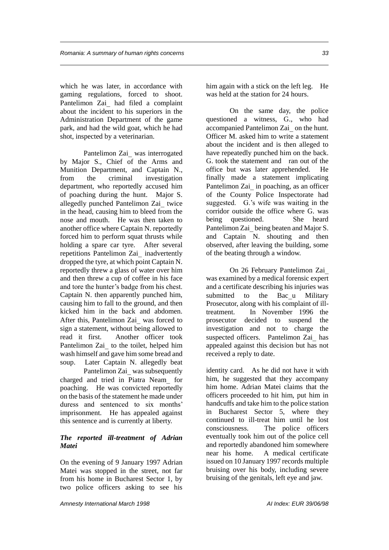which he was later, in accordance with gaming regulations, forced to shoot. Pantelimon Zai had filed a complaint about the incident to his superiors in the Administration Department of the game park, and had the wild goat, which he had shot, inspected by a veterinarian.

Pantelimon Zai was interrogated by Major S., Chief of the Arms and Munition Department, and Captain N., from the criminal investigation department, who reportedly accused him of poaching during the hunt. Major S. allegedly punched Pantelimon Zai twice in the head, causing him to bleed from the nose and mouth. He was then taken to another office where Captain N. reportedly forced him to perform squat thrusts while holding a spare car tyre. After several repetitions Pantelimon Zai inadvertently dropped the tyre, at which point Captain N. reportedly threw a glass of water over him and then threw a cup of coffee in his face and tore the hunter's badge from his chest. Captain N. then apparently punched him, causing him to fall to the ground, and then kicked him in the back and abdomen. After this, Pantelimon Zai was forced to sign a statement, without being allowed to read it first. Another officer took Pantelimon Zai to the toilet, helped him wash himself and gave him some bread and soup. Later Captain N. allegedly beat

Pantelimon Zai was subsequently charged and tried in Piatra Neam for poaching. He was convicted reportedly on the basis of the statement he made under duress and sentenced to six months' imprisonment. He has appealed against this sentence and is currently at liberty.

#### *The reported ill-treatment of Adrian Matei*

On the evening of 9 January 1997 Adrian Matei was stopped in the street, not far from his home in Bucharest Sector 1, by two police officers asking to see his

him again with a stick on the left leg. He was held at the station for 24 hours.

On the same day, the police questioned a witness, G., who had accompanied Pantelimon Zai on the hunt. Officer M. asked him to write a statement about the incident and is then alleged to have repeatedly punched him on the back. G. took the statement and ran out of the office but was later apprehended. He finally made a statement implicating Pantelimon Zai in poaching, as an officer of the County Police Inspectorate had suggested. G.'s wife was waiting in the corridor outside the office where G. was being questioned. She heard Pantelimon Zai being beaten and Major S. and Captain N. shouting and then observed, after leaving the building, some of the beating through a window.

On 26 February Pantelimon Zai was examined by a medical forensic expert and a certificate describing his injuries was submitted to the Bacu Military Prosecutor, along with his complaint of illtreatment. In November 1996 the prosecutor decided to suspend the investigation and not to charge the suspected officers. Pantelimon Zai has appealed against this decision but has not received a reply to date.

identity card. As he did not have it with him, he suggested that they accompany him home. Adrian Matei claims that the officers proceeded to hit him, put him in handcuffs and take him to the police station in Bucharest Sector 5, where they continued to ill-treat him until he lost consciousness. The police officers eventually took him out of the police cell and reportedly abandoned him somewhere near his home. A medical certificate issued on 10 January 1997 records multiple bruising over his body, including severe bruising of the genitals, left eye and jaw.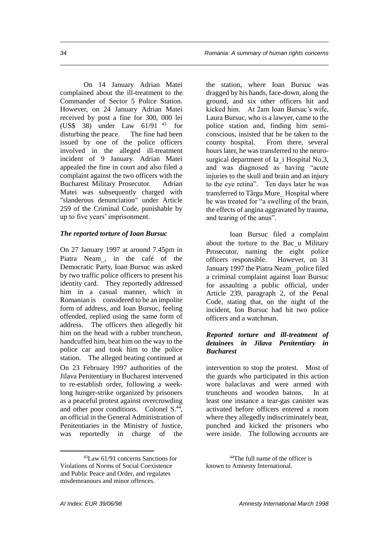On 14 January Adrian Matei complained about the ill-treatment to the Commander of Sector 5 Police Station. However, on 24 January Adrian Matei received by post a fine for 300, 000 lei (US\$ 38) under Law 61/91 <sup>43</sup> for disturbing the peace. The fine had been issued by one of the police officers involved in the alleged ill-treatment incident of 9 January. Adrian Matei appealed the fine in court and also filed a complaint against the two officers with the Bucharest Military Prosecutor. Adrian Matei was subsequently charged with "slanderous denunciation" under Article 259 of the Criminal Code, punishable by up to five years' imprisonment.

#### *The reported torture of Ioan Bursuc*

On 27 January 1997 at around 7.45pm in Piatra Neam, in the café of the Democratic Party, Ioan Bursuc was asked by two traffic police officers to present his identity card. They reportedly addressed him in a casual manner, which in Romanian is considered to be an impolite form of address, and Ioan Bursuc, feeling offended, replied using the same form of address. The officers then allegedly hit him on the head with a rubber truncheon, handcuffed him, beat him on the way to the police car and took him to the police station. The alleged beating continued at On 23 February 1997 authorities of the Jilava Penitentiary in Bucharest intervened to re-establish order, following a weeklong hunger-strike organized by prisoners as a peaceful protest against overcrowding and other poor conditions. Colonel S.<sup>44</sup>, an official in the General Administration of Penitentiaries in the Ministry of Justice, was reportedly in charge of the

<sup>43</sup>Law 61/91 concerns Sanctions for Violations of Norms of Social Coexistence and Public Peace and Order, and regulates misdemeanours and minor offences.

the station, where Ioan Bursuc was dragged by his hands, face-down, along the ground, and six other officers hit and kicked him. At 2am Ioan Bursuc's wife, Laura Bursuc, who is a lawyer, came to the police station and, finding him semiconscious, insisted that he be taken to the county hospital. From there, several hours later, he was transferred to the neurosurgical department of Ia i Hospital No.3, and was diagnosed as having "acute injuries to the skull and brain and an injury to the eye retina". Ten days later he was transferred to Târgu Mure Hospital where he was treated for "a swelling of the brain, the effects of angina aggravated by trauma, and tearing of the anus".

Ioan Bursuc filed a complaint about the torture to the Bac u Military Prosecutor, naming the eight police officers responsible. However, on 31 January 1997 the Piatra Neam police filed a criminal complaint against Ioan Bursuc for assaulting a public official, under Article 239, paragraph 2, of the Penal Code, stating that, on the night of the incident, Ion Bursuc had hit two police officers and a watchman.

#### *Reported torture and ill-treatment of detainees in Jilava Penitentiary in Bucharest*

intervention to stop the protest. Most of the guards who participated in this action wore balaclavas and were armed with truncheons and wooden batons. In at least one instance a tear-gas canister was activated before officers entered a room where they allegedly indiscriminately beat, punched and kicked the prisoners who were inside. The following accounts are

<sup>44</sup>The full name of the officer is known to Amnesty International.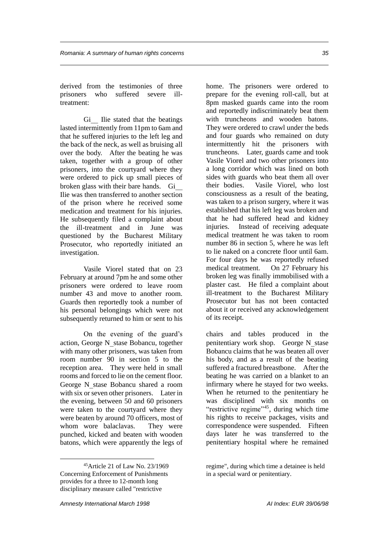derived from the testimonies of three prisoners who suffered severe illtreatment:

Gi Ilie stated that the beatings lasted intermittently from 11pm to 6am and that he suffered injuries to the left leg and the back of the neck, as well as bruising all over the body. After the beating he was taken, together with a group of other prisoners, into the courtyard where they were ordered to pick up small pieces of broken glass with their bare hands. Gi Ilie was then transferred to another section of the prison where he received some medication and treatment for his injuries. He subsequently filed a complaint about the ill-treatment and in June was questioned by the Bucharest Military Prosecutor, who reportedly initiated an investigation.

Vasile Viorel stated that on 23 February at around 7pm he and some other prisoners were ordered to leave room number 43 and move to another room. Guards then reportedly took a number of his personal belongings which were not subsequently returned to him or sent to his

On the evening of the guard's action, George N stase Bobancu, together with many other prisoners, was taken from room number 90 in section 5 to the reception area. They were held in small rooms and forced to lie on the cement floor. George N stase Bobancu shared a room with six or seven other prisoners. Later in the evening, between 50 and 60 prisoners were taken to the courtyard where they were beaten by around 70 officers, most of whom wore balaclavas. They were punched, kicked and beaten with wooden batons, which were apparently the legs of home. The prisoners were ordered to prepare for the evening roll-call, but at 8pm masked guards came into the room and reportedly indiscriminately beat them with truncheons and wooden batons. They were ordered to crawl under the beds and four guards who remained on duty intermittently hit the prisoners with truncheons. Later, guards came and took Vasile Viorel and two other prisoners into a long corridor which was lined on both sides with guards who beat them all over their bodies. Vasile Viorel, who lost consciousness as a result of the beating, was taken to a prison surgery, where it was established that his left leg was broken and that he had suffered head and kidney injuries. Instead of receiving adequate medical treatment he was taken to room number 86 in section 5, where he was left to lie naked on a concrete floor until 6am. For four days he was reportedly refused medical treatment. On 27 February his broken leg was finally immobilised with a plaster cast. He filed a complaint about ill-treatment to the Bucharest Military Prosecutor but has not been contacted about it or received any acknowledgement of its receipt.

chairs and tables produced in the penitentiary work shop. George N stase Bobancu claims that he was beaten all over his body, and as a result of the beating suffered a fractured breastbone. After the beating he was carried on a blanket to an infirmary where he stayed for two weeks. When he returned to the penitentiary he was disciplined with six months on "restrictive regime"<sup>45</sup>, during which time his rights to receive packages, visits and correspondence were suspended. Fifteen days later he was transferred to the penitentiary hospital where he remained

<sup>45</sup>Article 21 of Law No. 23/1969 Concerning Enforcement of Punishments provides for a three to 12-month long disciplinary measure called "restrictive

regime", during which time a detainee is held in a special ward or penitentiary.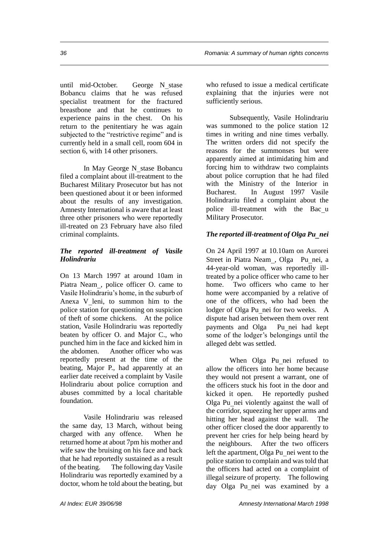until mid-October. George N stase Bobancu claims that he was refused specialist treatment for the fractured breastbone and that he continues to experience pains in the chest. On his return to the penitentiary he was again subjected to the "restrictive regime" and is currently held in a small cell, room 604 in section 6, with 14 other prisoners.

In May George N stase Bobancu filed a complaint about ill-treatment to the Bucharest Military Prosecutor but has not been questioned about it or been informed about the results of any investigation. Amnesty International is aware that at least three other prisoners who were reportedly ill-treated on 23 February have also filed criminal complaints.

#### *The reported ill-treatment of Vasile Holindrariu*

On 13 March 1997 at around 10am in Piatra Neam, police officer O. came to Vasile Holindrariu's home, in the suburb of Anexa V leni, to summon him to the police station for questioning on suspicion of theft of some chickens. At the police station, Vasile Holindrariu was reportedly beaten by officer O. and Major C., who punched him in the face and kicked him in the abdomen. Another officer who was reportedly present at the time of the beating, Major P., had apparently at an earlier date received a complaint by Vasile Holindrariu about police corruption and abuses committed by a local charitable foundation.

Vasile Holindrariu was released the same day, 13 March, without being charged with any offence. When he returned home at about 7pm his mother and wife saw the bruising on his face and back that he had reportedly sustained as a result of the beating. The following day Vasile Holindrariu was reportedly examined by a doctor, whom he told about the beating, but

who refused to issue a medical certificate explaining that the injuries were not sufficiently serious.

Subsequently, Vasile Holindrariu was summoned to the police station 12 times in writing and nine times verbally. The written orders did not specify the reasons for the summonses but were apparently aimed at intimidating him and forcing him to withdraw two complaints about police corruption that he had filed with the Ministry of the Interior in Bucharest. In August 1997 Vasile Holindrariu filed a complaint about the police ill-treatment with the Bacu Military Prosecutor.

#### *The reported ill-treatment of Olga Punei*

On 24 April 1997 at 10.10am on Aurorei Street in Piatra Neam, Olga Punei, a 44-year-old woman, was reportedly illtreated by a police officer who came to her home. Two officers who came to her home were accompanied by a relative of one of the officers, who had been the lodger of Olga Pu nei for two weeks. A dispute had arisen between them over rent payments and Olga Punei had kept some of the lodger's belongings until the alleged debt was settled.

When Olga Pu nei refused to allow the officers into her home because they would not present a warrant, one of the officers stuck his foot in the door and kicked it open. He reportedly pushed Olga Punei violently against the wall of the corridor, squeezing her upper arms and hitting her head against the wall. The other officer closed the door apparently to prevent her cries for help being heard by the neighbours. After the two officers left the apartment, Olga Pu nei went to the police station to complain and was told that the officers had acted on a complaint of illegal seizure of property. The following day Olga Punei was examined by a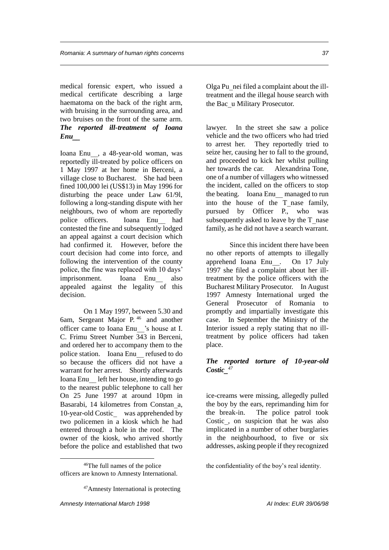medical forensic expert, who issued a medical certificate describing a large haematoma on the back of the right arm, with bruising in the surrounding area, and two bruises on the front of the same arm. *The reported ill-treatment of Ioana Enu*

Ioana Enu, a 48-year-old woman, was reportedly ill-treated by police officers on 1 May 1997 at her home in Berceni, a village close to Bucharest. She had been fined 100,000 lei (US\$13) in May 1996 for disturbing the peace under Law 61/9l, following a long-standing dispute with her neighbours, two of whom are reportedly police officers. Ioana Enu had contested the fine and subsequently lodged an appeal against a court decision which had confirmed it. However, before the court decision had come into force, and following the intervention of the county police, the fine was replaced with 10 days' imprisonment. Ioana Enu also appealed against the legality of this decision.

On 1 May 1997, between 5.30 and 6am, Sergeant Major P. <sup>46</sup> and another officer came to Ioana Enu's house at I. C. Frimu Street Number 343 in Berceni, and ordered her to accompany them to the police station. Ioana Enu refused to do so because the officers did not have a warrant for her arrest. Shortly afterwards Ioana Enu left her house, intending to go to the nearest public telephone to call her On 25 June 1997 at around 10pm in Basarabi, 14 kilometres from Constan a, 10-year-old Costic\_ was apprehended by two policemen in a kiosk which he had entered through a hole in the roof. The owner of the kiosk, who arrived shortly before the police and established that two

 $\overline{a}$ 

Olga Punei filed a complaint about the illtreatment and the illegal house search with the Bac u Military Prosecutor.

lawyer. In the street she saw a police vehicle and the two officers who had tried to arrest her. They reportedly tried to seize her, causing her to fall to the ground, and proceeded to kick her whilst pulling her towards the car. Alexandrina Tone, one of a number of villagers who witnessed the incident, called on the officers to stop the beating. Ioana Enu managed to run into the house of the T nase family, pursued by Officer P., who was subsequently asked to leave by the  $T$  nase family, as he did not have a search warrant.

Since this incident there have been no other reports of attempts to illegally apprehend Ioana Enu. On 17 July 1997 she filed a complaint about her illtreatment by the police officers with the Bucharest Military Prosecutor. In August 1997 Amnesty International urged the General Prosecutor of Romania to promptly and impartially investigate this case. In September the Ministry of the Interior issued a reply stating that no illtreatment by police officers had taken place.

#### *The reported torture of 10-year-old Costic 47*

ice-creams were missing, allegedly pulled the boy by the ears, reprimanding him for the break-in. The police patrol took Costic, on suspicion that he was also implicated in a number of other burglaries in the neighbourhood, to five or six addresses, asking people if they recognized

<sup>46</sup>The full names of the police officers are known to Amnesty International.

<sup>47</sup>Amnesty International is protecting

the confidentiality of the boy's real identity.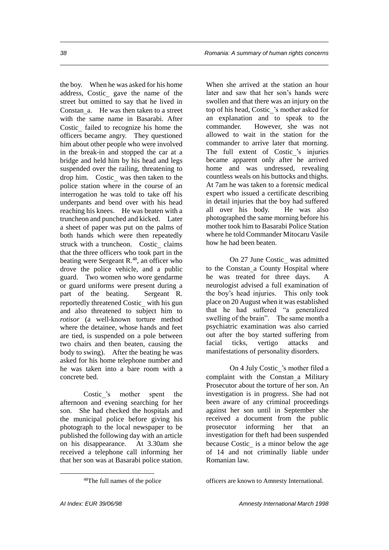the boy. When he was asked for his home address, Costic gave the name of the street but omitted to say that he lived in Constan a. He was then taken to a street with the same name in Basarabi. After Costic failed to recognize his home the officers became angry. They questioned him about other people who were involved in the break-in and stopped the car at a bridge and held him by his head and legs suspended over the railing, threatening to drop him. Costic was then taken to the police station where in the course of an interrogation he was told to take off his underpants and bend over with his head reaching his knees. He was beaten with a truncheon and punched and kicked. Later a sheet of paper was put on the palms of both hands which were then repeatedly struck with a truncheon. Costic claims that the three officers who took part in the beating were Sergeant R.<sup>48</sup>, an officer who drove the police vehicle, and a public guard. Two women who wore gendarme or guard uniforms were present during a part of the beating. Sergeant R. reportedly threatened Costic with his gun and also threatened to subject him to *rotisor* (a well-known torture method where the detainee, whose hands and feet are tied, is suspended on a pole between two chairs and then beaten, causing the body to swing). After the beating he was asked for his home telephone number and he was taken into a bare room with a concrete bed.

Costic's mother spent the afternoon and evening searching for her son. She had checked the hospitals and the municipal police before giving his photograph to the local newspaper to be published the following day with an article on his disappearance. At 3.30am she received a telephone call informing her that her son was at Basarabi police station. When she arrived at the station an hour later and saw that her son's hands were swollen and that there was an injury on the top of his head, Costic\_'s mother asked for an explanation and to speak to the commander. However, she was not allowed to wait in the station for the commander to arrive later that morning. The full extent of Costic 's injuries became apparent only after he arrived home and was undressed, revealing countless weals on his buttocks and thighs. At 7am he was taken to a forensic medical expert who issued a certificate describing in detail injuries that the boy had suffered all over his body. He was also photographed the same morning before his mother took him to Basarabi Police Station where he told Commander Mitocaru Vasile how he had been beaten.

On 27 June Costic was admitted to the Constan a County Hospital where he was treated for three days. A neurologist advised a full examination of the boy's head injuries. This only took place on 20 August when it was established that he had suffered "a generalized swelling of the brain". The same month a psychiatric examination was also carried out after the boy started suffering from facial ticks, vertigo attacks and manifestations of personality disorders.

On 4 July Costic's mother filed a complaint with the Constan a Military Prosecutor about the torture of her son. An investigation is in progress. She had not been aware of any criminal proceedings against her son until in September she received a document from the public prosecutor informing her that an investigation for theft had been suspended because Costic is a minor below the age of 14 and not criminally liable under Romanian law.

officers are known to Amnesty International.

<sup>48</sup>The full names of the police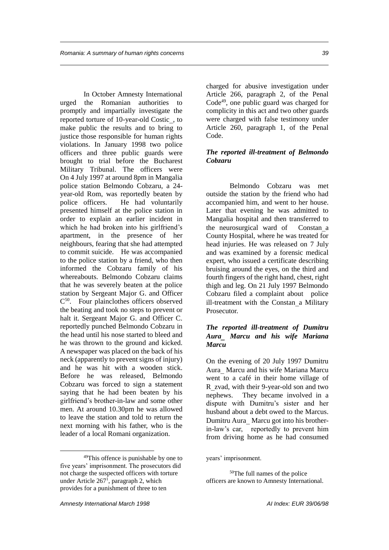In October Amnesty International urged the Romanian authorities to promptly and impartially investigate the reported torture of 10-year-old Costic, to make public the results and to bring to justice those responsible for human rights violations. In January 1998 two police officers and three public guards were brought to trial before the Bucharest Military Tribunal. The officers were On 4 July 1997 at around 8pm in Mangalia police station Belmondo Cobzaru, a 24 year-old Rom, was reportedly beaten by police officers. He had voluntarily presented himself at the police station in order to explain an earlier incident in which he had broken into his girlfriend's apartment, in the presence of her neighbours, fearing that she had attempted to commit suicide. He was accompanied to the police station by a friend, who then informed the Cobzaru family of his whereabouts. Belmondo Cobzaru claims that he was severely beaten at the police station by Sergeant Major G. and Officer C <sup>50</sup>. Four plainclothes officers observed the beating and took no steps to prevent or halt it. Sergeant Major G. and Officer C. reportedly punched Belmondo Cobzaru in the head until his nose started to bleed and he was thrown to the ground and kicked. A newspaper was placed on the back of his neck (apparently to prevent signs of injury) and he was hit with a wooden stick. Before he was released, Belmondo Cobzaru was forced to sign a statement saying that he had been beaten by his girlfriend's brother-in-law and some other men. At around 10.30pm he was allowed to leave the station and told to return the next morning with his father, who is the leader of a local Romani organization.

charged for abusive investigation under Article 266, paragraph 2, of the Penal Code<sup>49</sup>, one public guard was charged for complicity in this act and two other guards were charged with false testimony under Article 260, paragraph 1, of the Penal Code.

#### *The reported ill-treatment of Belmondo Cobzaru*

Belmondo Cobzaru was met outside the station by the friend who had accompanied him, and went to her house. Later that evening he was admitted to Mangalia hospital and then transferred to the neurosurgical ward of Constan a County Hospital, where he was treated for head injuries. He was released on 7 July and was examined by a forensic medical expert, who issued a certificate describing bruising around the eyes, on the third and fourth fingers of the right hand, chest, right thigh and leg. On 21 July 1997 Belmondo Cobzaru filed a complaint about police ill-treatment with the Constan a Military Prosecutor.

#### *The reported ill-treatment of Dumitru Aura Marcu and his wife Mariana Marcu*

On the evening of 20 July 1997 Dumitru Aura Marcu and his wife Mariana Marcu went to a café in their home village of R zvad, with their 9-year-old son and two nephews. They became involved in a dispute with Dumitru's sister and her husband about a debt owed to the Marcus. Dumitru Aura Marcu got into his brotherin-law's car, reportedly to prevent him from driving home as he had consumed

<sup>49</sup>This offence is punishable by one to five years' imprisonment. The prosecutors did not charge the suspected officers with torture under Article 267<sup>1</sup> , paragraph 2, which provides for a punishment of three to ten

years' imprisonment.

<sup>50</sup>The full names of the police officers are known to Amnesty International.